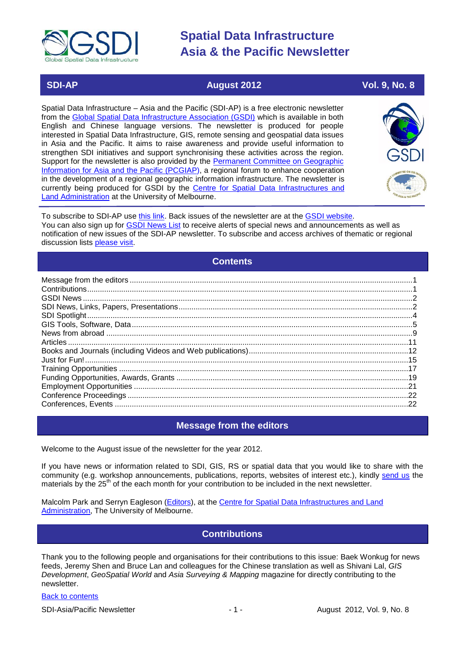

# **SDI-AP August 2012 Vol. 9, No. 8**

Spatial Data Infrastructure – Asia and the Pacific (SDI-AP) is a free electronic newsletter from the [Global Spatial Data Infrastructure Association \(GSDI\)](http://www.gsdi.org/) which is available in both English and Chinese language versions. The newsletter is produced for people interested in Spatial Data Infrastructure, GIS, remote sensing and geospatial data issues in Asia and the Pacific. It aims to raise awareness and provide useful information to strengthen SDI initiatives and support synchronising these activities across the region. Support for the newsletter is also provided by the Permanent Committee on Geographic [Information for Asia and the Pacific \(PCGIAP\)](http://www.pcgiap.org/), a regional forum to enhance cooperation in the development of a regional geographic information infrastructure. The newsletter is currently being produced for GSDI by the [Centre for Spatial Data Infrastructures and](http://www.csdila.unimelb.edu.au/)  [Land Administration](http://www.csdila.unimelb.edu.au/) at the University of Melbourne.



To subscribe to SDI-AP use [this link.](http://www.gsdi.org/newslist/gsdisubscribe.asp) Back issues of the newsletter are at the [GSDI website.](http://www.gsdi.org/newsletters.asp) You can also sign up for **GSDI News List** to receive alerts of special news and announcements as well as notification of new issues of the SDI-AP newsletter. To subscribe and access archives of thematic or regional discussion lists [please visit.](http://www.gsdi.org/discussionlists.asp)

## **Contents**

<span id="page-0-0"></span>

### **Message from the editors**

<span id="page-0-1"></span>Welcome to the August issue of the newsletter for the year 2012.

If you have news or information related to SDI, GIS, RS or spatial data that you would like to share with the community (e.g. workshop announcements, publications, reports, websites of interest etc.), kindly [send us](mailto:.SDI-AP@gsdi.org) the materials by the 25<sup>th</sup> of the each month for your contribution to be included in the next newsletter.

<span id="page-0-2"></span>Malcolm Park and Serryn Eagleson [\(Editors\)](mailto:Editor.SDIAP@gmail.com), at the [Centre for Spatial Data Infrastructures and Land](http://www.csdila.unimelb.edu.au/)  [Administration,](http://www.csdila.unimelb.edu.au/) The University of Melbourne.

## **Contributions**

Thank you to the following people and organisations for their contributions to this issue: Baek Wonkug for news feeds, Jeremy Shen and Bruce Lan and colleagues for the Chinese translation as well as Shivani Lal, *GIS Development*, *GeoSpatial World* and *Asia Surveying & Mapping* magazine for directly contributing to the newsletter.

### [Back to contents](#page-0-0)

SDI-Asia/Pacific Newsletter 1992 1 - 1 - August 2012, Vol. 9, No. 8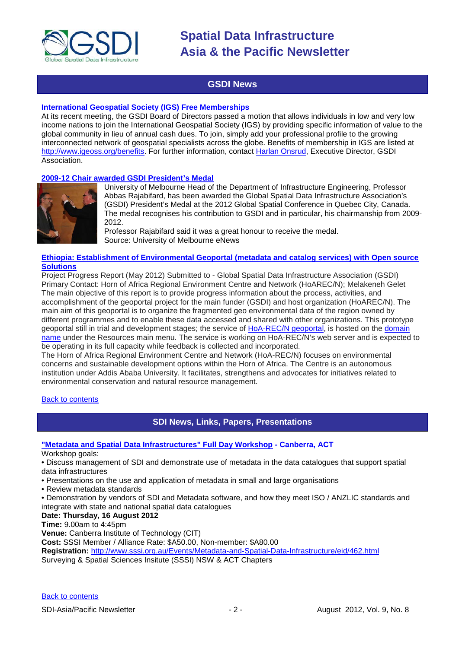

## **GSDI News**

### <span id="page-1-0"></span>**International Geospatial Society (IGS) Free Memberships**

At its recent meeting, the GSDI Board of Directors passed a motion that allows individuals in low and very low income nations to join the International Geospatial Society (IGS) by providing specific information of value to the global community in lieu of annual cash dues. To join, simply add your professional profile to the growing interconnected network of geospatial specialists across the globe. Benefits of membership in IGS are listed at [http://www.igeoss.org/benefits.](https://owa.unimelb.edu.au/owa/redir.aspx?C=54c2b4d3973d480282dc7c38384f4204&URL=http%3a%2f%2fwww.igeoss.org%2fbenefits) For further information, contact [Harlan Onsrud,](mailto:onsrud@gsdi.org) Executive Director, GSDI Association.

### **[2009-12 Chair awarded GSDI President's Medal](http://musse.unimelb.edu.au/july-12-90/head-department-awarded-prestigious-global-spatial-data-infrastructure-medal)**



University of Melbourne Head of the Department of Infrastructure Engineering, Professor Abbas Rajabifard, has been awarded the Global Spatial Data Infrastructure Association's (GSDI) President's Medal at the 2012 Global Spatial Conference in Quebec City, Canada. The medal recognises his contribution to GSDI and in particular, his chairmanship from 2009- 2012.

Professor Rajabifard said it was a great honour to receive the medal. Source: University of Melbourne eNews

### **[Ethiopia: Establishment of Environmental Geoportal \(metadata and catalog services\) with Open source](http://memberservices.gsdi.org/files/?artifact_id=1080)  [Solutions](http://memberservices.gsdi.org/files/?artifact_id=1080)**

Project Progress Report (May 2012) Submitted to - Global Spatial Data Infrastructure Association (GSDI) Primary Contact: Horn of Africa Regional Environment Centre and Network (HoAREC/N); Melakeneh Gelet The main objective of this report is to provide progress information about the process, activities, and accomplishment of the geoportal project for the main funder (GSDI) and host organization (HoAREC/N). The main aim of this geoportal is to organize the fragmented geo environmental data of the region owned by different programmes and to enable these data accessed and shared with other organizations. This prototype geoportal still in trial and development stages; the service of [HoA-REC/N geoportal,](http://hoarec.org/index.php/geoportal-home) is hosted on the [domain](http://hoarec.org/)  [name](http://hoarec.org/) under the Resources main menu. The service is working on HoA-REC/N's web server and is expected to be operating in its full capacity while feedback is collected and incorporated.

The Horn of Africa Regional Environment Centre and Network (HoA-REC/N) focuses on environmental concerns and sustainable development options within the Horn of Africa. The Centre is an autonomous institution under Addis Ababa University. It facilitates, strengthens and advocates for initiatives related to environmental conservation and natural resource management.

### <span id="page-1-1"></span>[Back to contents](#page-0-0)

### **SDI News, Links, Papers, Presentations**

### **["Metadata and Spatial Data Infrastructures" Full Day Workshop](http://www.sssi.org.au/Events/Metadata-and-Spatial-Data-Infrastructure/eid/462.html) - Canberra, ACT**

Workshop goals:

• Discuss management of SDI and demonstrate use of metadata in the data catalogues that support spatial data infrastructures

- Presentations on the use and application of metadata in small and large organisations
- Review metadata standards
- Demonstration by vendors of SDI and Metadata software, and how they meet ISO / ANZLIC standards and integrate with state and national spatial data catalogues

### **Date: Thursday, 16 August 2012**

**Time:** 9.00am to 4:45pm

**Venue:** Canberra Institute of Technology (CIT)

**Cost:** SSSI Member / Alliance Rate: \$A50.00, Non-member: \$A80.00

**Registration:** <http://www.sssi.org.au/Events/Metadata-and-Spatial-Data-Infrastructure/eid/462.html>

Surveying & Spatial Sciences Insitute (SSSI) NSW & ACT Chapters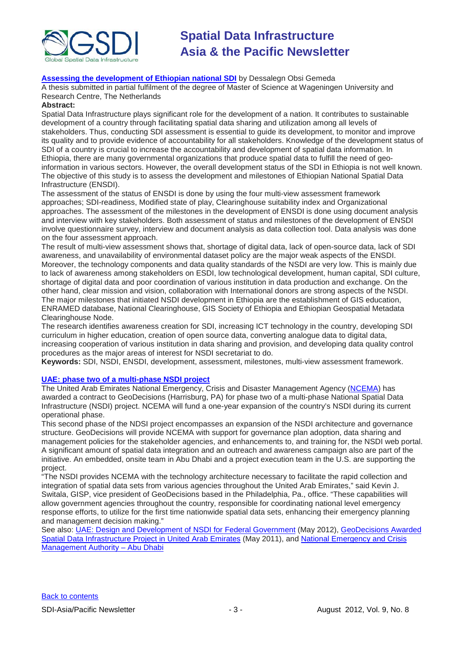

### **[Assessing the development of Ethiopian national SDI](http://edepot.wur.nl/203038)** by Dessalegn Obsi Gemeda

A thesis submitted in partial fulfilment of the degree of Master of Science at Wageningen University and Research Centre, The Netherlands

### **Abstract:**

Spatial Data Infrastructure plays significant role for the development of a nation. It contributes to sustainable development of a country through facilitating spatial data sharing and utilization among all levels of stakeholders. Thus, conducting SDI assessment is essential to guide its development, to monitor and improve its quality and to provide evidence of accountability for all stakeholders. Knowledge of the development status of SDI of a country is crucial to increase the accountability and development of spatial data information. In Ethiopia, there are many governmental organizations that produce spatial data to fulfill the need of geoinformation in various sectors. However, the overall development status of the SDI in Ethiopia is not well known. The objective of this study is to assess the development and milestones of Ethiopian National Spatial Data Infrastructure (ENSDI).

The assessment of the status of ENSDI is done by using the four multi-view assessment framework approaches; SDI-readiness, Modified state of play, Clearinghouse suitability index and Organizational approaches. The assessment of the milestones in the development of ENSDI is done using document analysis and interview with key stakeholders. Both assessment of status and milestones of the development of ENSDI involve questionnaire survey, interview and document analysis as data collection tool. Data analysis was done on the four assessment approach.

The result of multi-view assessment shows that, shortage of digital data, lack of open-source data, lack of SDI awareness, and unavailability of environmental dataset policy are the major weak aspects of the ENSDI. Moreover, the technology components and data quality standards of the NSDI are very low. This is mainly due to lack of awareness among stakeholders on ESDI, low technological development, human capital, SDI culture, shortage of digital data and poor coordination of various institution in data production and exchange. On the other hand, clear mission and vision, collaboration with International donors are strong aspects of the NSDI. The major milestones that initiated NSDI development in Ethiopia are the establishment of GIS education, ENRAMED database, National Clearinghouse, GIS Society of Ethiopia and Ethiopian Geospatial Metadata Clearinghouse Node.

The research identifies awareness creation for SDI, increasing ICT technology in the country, developing SDI curriculum in higher education, creation of open source data, converting analogue data to digital data, increasing cooperation of various institution in data sharing and provision, and developing data quality control procedures as the major areas of interest for NSDI secretariat to do.

**Keywords:** SDI, NSDI, ENSDI, development, assessment, milestones, multi-view assessment framework.

### **[UAE: phase two of a multi-phase NSDI project](http://www.geodecisions.com/NewsEvents/2012/NCEMATapsGeoDecisionsforSpatialDataInfrastru.aspx)**

The United Arab Emirates National Emergency, Crisis and Disaster Management Agency [\(NCEMA\)](http://www.ncema.ae/en/home.aspx) has awarded a contract to GeoDecisions (Harrisburg, PA) for phase two of a multi-phase National Spatial Data Infrastructure (NSDI) project. NCEMA will fund a one-year expansion of the country's NSDI during its current operational phase.

This second phase of the NDSI project encompasses an expansion of the NSDI architecture and governance structure. GeoDecisions will provide NCEMA with support for governance plan adoption, data sharing and management policies for the stakeholder agencies, and enhancements to, and training for, the NSDI web portal. A significant amount of spatial data integration and an outreach and awareness campaign also are part of the initiative. An embedded, onsite team in Abu Dhabi and a project execution team in the U.S. are supporting the project.

"The NSDI provides NCEMA with the technology architecture necessary to facilitate the rapid collection and integration of spatial data sets from various agencies throughout the United Arab Emirates," said Kevin J. Switala, GISP, vice president of GeoDecisions based in the Philadelphia, Pa., office. "These capabilities will allow government agencies throughout the country, responsible for coordinating national level emergency response efforts, to utilize for the first time nationwide spatial data sets, enhancing their emergency planning and management decision making."

See also: [UAE: Design and Development of NSDI for Federal Government](http://www.gsdi.org/gsdiconf/gsdi13/slides/4.1e.pdf) (May 2012), GeoDecisions Awarded [Spatial Data Infrastructure Project in United Arab Emirates](http://www.geodecisions.com/NewsEvents/2011/GeoDecisionsAwardedSpatialDataInfrastructureP.aspx) (May 2011), and [National Emergency and Crisis](http://sdi.abudhabi.ae/Sites/SDI/Content/EN/PDF/stakeholders-ncema,property=pdf,bereich=sdi,sprache=en,rwb=true.pdf)  [Management Authority –](http://sdi.abudhabi.ae/Sites/SDI/Content/EN/PDF/stakeholders-ncema,property=pdf,bereich=sdi,sprache=en,rwb=true.pdf) Abu Dhabi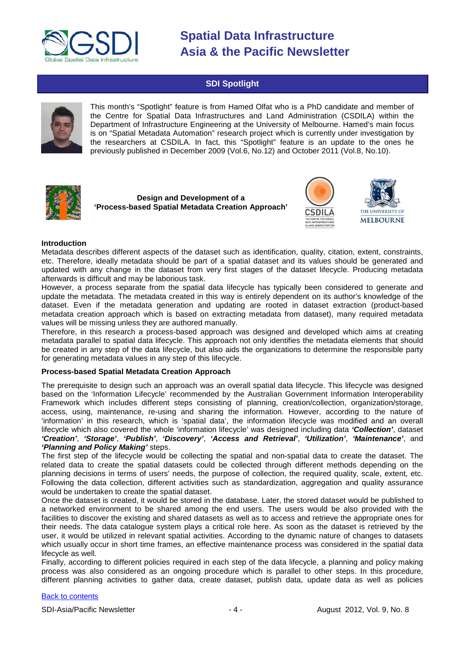

### **SDI Spotlight**

<span id="page-3-0"></span>

This month's "Spotlight" feature is from Hamed Olfat who is a PhD candidate and member of the Centre for Spatial Data Infrastructures and Land Administration (CSDILA) within the Department of Infrastructure Engineering at the University of Melbourne. Hamed's main focus is on "Spatial Metadata Automation" research project which is currently under investigation by the researchers at CSDILA. In fact, this "Spotlight" feature is an update to the ones he previously published in December 2009 (Vol.6, No.12) and October 2011 (Vol.8, No.10).



**Design and Development of a 'Process-based Spatial Metadata Creation Approach'**





### **Introduction**

Metadata describes different aspects of the dataset such as identification, quality, citation, extent, constraints, etc. Therefore, ideally metadata should be part of a spatial dataset and its values should be generated and updated with any change in the dataset from very first stages of the dataset lifecycle. Producing metadata afterwards is difficult and may be laborious task.

However, a process separate from the spatial data lifecycle has typically been considered to generate and update the metadata. The metadata created in this way is entirely dependent on its author's knowledge of the dataset. Even if the metadata generation and updating are rooted in dataset extraction (product-based metadata creation approach which is based on extracting metadata from dataset), many required metadata values will be missing unless they are authored manually.

Therefore, in this research a process-based approach was designed and developed which aims at creating metadata parallel to spatial data lifecycle. This approach not only identifies the metadata elements that should be created in any step of the data lifecycle, but also aids the organizations to determine the responsible party for generating metadata values in any step of this lifecycle.

### **Process-based Spatial Metadata Creation Approach**

The prerequisite to design such an approach was an overall spatial data lifecycle. This lifecycle was designed based on the 'Information Lifecycle' recommended by the Australian Government Information Interoperability Framework which includes different steps consisting of planning, creation/collection, organization/storage, access, using, maintenance, re-using and sharing the information. However, according to the nature of 'information' in this research, which is 'spatial data', the information lifecycle was modified and an overall lifecycle which also covered the whole 'information lifecycle' was designed including data *'Collection'*, dataset *'Creation'*, *'Storage'*, *'Publish'*, *'Discovery'*, *'Access and Retrieval'*, *'Utilization'*, *'Maintenance'*, and *'Planning and Policy Making'* steps.

The first step of the lifecycle would be collecting the spatial and non-spatial data to create the dataset. The related data to create the spatial datasets could be collected through different methods depending on the planning decisions in terms of users' needs, the purpose of collection, the required quality, scale, extent, etc. Following the data collection, different activities such as standardization, aggregation and quality assurance would be undertaken to create the spatial dataset.

Once the dataset is created, it would be stored in the database. Later, the stored dataset would be published to a networked environment to be shared among the end users. The users would be also provided with the facilities to discover the existing and shared datasets as well as to access and retrieve the appropriate ones for their needs. The data catalogue system plays a critical role here. As soon as the dataset is retrieved by the user, it would be utilized in relevant spatial activities. According to the dynamic nature of changes to datasets which usually occur in short time frames, an effective maintenance process was considered in the spatial data lifecycle as well.

Finally, according to different policies required in each step of the data lifecycle, a planning and policy making process was also considered as an ongoing procedure which is parallel to other steps. In this procedure, different planning activities to gather data, create dataset, publish data, update data as well as policies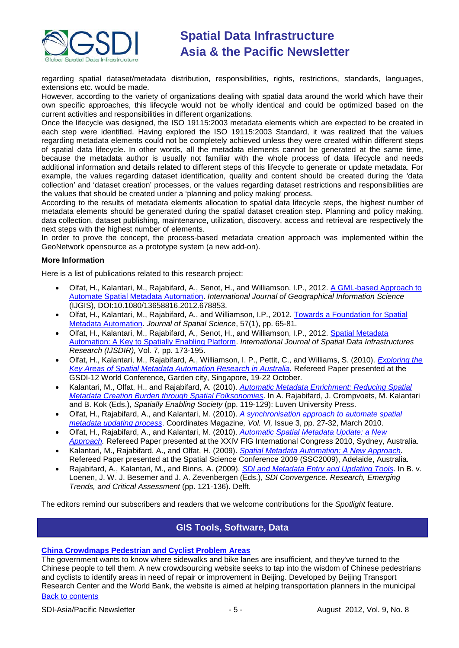

regarding spatial dataset/metadata distribution, responsibilities, rights, restrictions, standards, languages, extensions etc. would be made.

However, according to the variety of organizations dealing with spatial data around the world which have their own specific approaches, this lifecycle would not be wholly identical and could be optimized based on the current activities and responsibilities in different organizations.

Once the lifecycle was designed, the ISO 19115:2003 metadata elements which are expected to be created in each step were identified. Having explored the ISO 19115:2003 Standard, it was realized that the values regarding metadata elements could not be completely achieved unless they were created within different steps of spatial data lifecycle. In other words, all the metadata elements cannot be generated at the same time, because the metadata author is usually not familiar with the whole process of data lifecycle and needs additional information and details related to different steps of this lifecycle to generate or update metadata. For example, the values regarding dataset identification, quality and content should be created during the 'data collection' and 'dataset creation' processes, or the values regarding dataset restrictions and responsibilities are the values that should be created under a 'planning and policy making' process.

According to the results of metadata elements allocation to spatial data lifecycle steps, the highest number of metadata elements should be generated during the spatial dataset creation step. Planning and policy making, data collection, dataset publishing, maintenance, utilization, discovery, access and retrieval are respectively the next steps with the highest number of elements.

In order to prove the concept, the process-based metadata creation approach was implemented within the GeoNetwork opensource as a prototype system (a new add-on).

### **More Information**

Here is a list of publications related to this research project:

- Olfat, H., Kalantari, M., Rajabifard, A., Senot, H., and Williamson, I.P., 2012. [A GML-based Approach to](http://www.tandfonline.com/doi/abs/10.1080/13658816.2012.678853)  [Automate Spatial Metadata Automation.](http://www.tandfonline.com/doi/abs/10.1080/13658816.2012.678853) *International Journal of Geographical Information Science* (IJGIS), DOI:10.1080/13658816.2012.678853.
- Olfat, H., Kalantari, M., Rajabifard, A., and Williamson, I.P., 2012. [Towards a Foundation for Spatial](http://www.tandfonline.com/doi/abs/10.1080/14498596.2012.686361)  [Metadata Automation.](http://www.tandfonline.com/doi/abs/10.1080/14498596.2012.686361) *Journal of Spatial Science*, 57(1), pp. 65-81.
- Olfat, H., Kalantari, M., Rajabifard, A., Senot, H., and Williamson, I.P., 2012. [Spatial Metadata](http://ijsdir.jrc.ec.europa.eu/index.php/ijsdir/article/viewFile/279/326)  Automation: A [Key to Spatially Enabling Platform.](http://ijsdir.jrc.ec.europa.eu/index.php/ijsdir/article/viewFile/279/326) *International Journal of Spatial Data Infrastructures Research (IJSDIR),* Vol. 7, pp. 173-195.
- Olfat, H., Kalantari, M., Rajabifard, A., Williamson, I. P., Pettit, C., and Williams, S. (2010). *[Exploring the](http://www.gsdi.org/gsdiconf/gsdi12/papers/72.pdf)  [Key Areas of Spatial Metadata Automation Research in Australia.](http://www.gsdi.org/gsdiconf/gsdi12/papers/72.pdf)* Refereed Paper presented at the GSDI-12 World Conference, Garden city, Singapore, 19-22 October.
- Kalantari, M., Olfat, H., and Rajabifard, A. (2010). *[Automatic Metadata Enrichment: Reducing Spatial](http://www.gsdi.org/gsdiconf/gsdi12/papers/23.pdf)  [Metadata Creation Burden through Spatial Folksonomies](http://www.gsdi.org/gsdiconf/gsdi12/papers/23.pdf)*. In A. Rajabifard, J. Crompvoets, M. Kalantari and B. Kok (Eds.), *Spatially Enabling Society* (pp. 119-129): Luven University Press.
- Olfat, H., Rajabifard, A., and Kalantari, M. (2010). *[A synchronisation approach to automate spatial](http://mycoordinates.org/a-synchronisation-approach-to-automate-spatial-metadata-updating-process/)  [metadata updating process](http://mycoordinates.org/a-synchronisation-approach-to-automate-spatial-metadata-updating-process/)*. Coordinates Magazine*, Vol. VI,* Issue 3, pp. 27-32, March 2010.
- Olfat, H., Rajabifard, A., and Kalantari, M. (2010). *[Automatic Spatial Metadata Update: a New](http://www.fig.net/pub/fig2010/papers/ts05b%5Cts05b_olfat_rajabifard_et_al_4079.pdf)  [Approach.](http://www.fig.net/pub/fig2010/papers/ts05b%5Cts05b_olfat_rajabifard_et_al_4079.pdf)* Refereed Paper presented at the XXIV FIG International Congress 2010, Sydney, Australia.
- Kalantari, M., Rajabifard, A., and Olfat, H. (2009). *[Spatial Metadata Automation: A New Approach.](http://www.csdila.unimelb.edu.au/publication/conferences/Spatial_metadata_automation_A_new_Approach.pdf)* Refereed Paper presented at the Spatial Science Conference 2009 (SSC2009), Adelaide, Australia.
- Rajabifard, A., Kalantari, M., and Binns, A. (2009). *[SDI and Metadata Entry and Updating Tools](http://www.csdila.unimelb.edu.au/publication/conferences/GSDI-11/SDIandMetadataEntryandUpdatingtool.pdf)*. In B. v. Loenen, J. W. J. Besemer and J. A. Zevenbergen (Eds.), *SDI Convergence. Research, Emerging Trends, and Critical Assessment* (pp. 121-136). Delft.

<span id="page-4-0"></span>The editors remind our subscribers and readers that we welcome contributions for the *Spotlight* feature.

### **GIS Tools, Software, Data**

### **[China Crowdmaps Pedestrian and Cyclist Problem Areas](http://www.theatlanticcities.com/commute/2012/07/china-crowdmaps-pedestrian-and-cyclist-problem-areas/2699/)**

[Back to contents](#page-0-0) The government wants to know where sidewalks and bike lanes are insufficient, and they've turned to the Chinese people to tell them. A new crowdsourcing website seeks to tap into the wisdom of Chinese pedestrians and cyclists to identify areas in need of repair or improvement in Beijing. Developed by Beijing Transport Research Center and the World Bank, the website is aimed at helping transportation planners in the municipal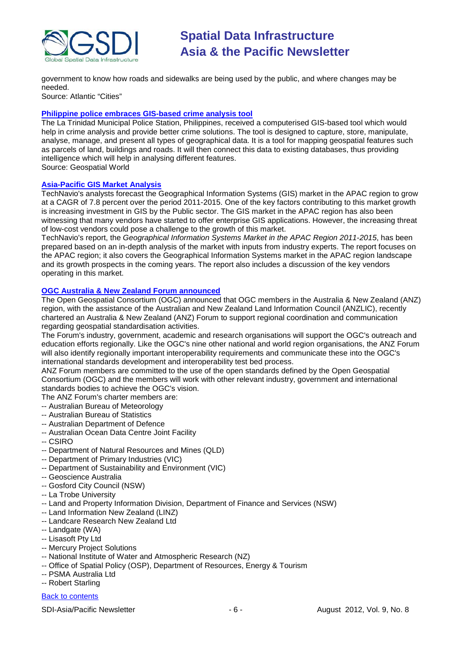

government to know how roads and sidewalks are being used by the public, and where changes may be needed.

Source: Atlantic "Cities"

### **[Philippine police embraces GIS-based crime analysis tool](http://geospatialworld.net/index.php?option=com_content&view=article&id=25041%3Aphilippine-police-embraces-gis-based-crime-analysis-tool&catid=62%3Aapplication-e-governance&Itemid=1)**

The La Trinidad Municipal Police Station, Philippines, received a computerised GIS-based tool which would help in crime analysis and provide better crime solutions. The tool is designed to capture, store, manipulate, analyse, manage, and present all types of geographical data. It is a tool for mapping geospatial features such as parcels of land, buildings and roads. It will then connect this data to existing databases, thus providing intelligence which will help in analysing different features. Source: Geospatial World

### **[Asia-Pacific GIS Market Analysis](http://www.researchandmarkets.com/research/p9d6q6/geographical_infor)**

TechNavio's analysts forecast the Geographical Information Systems (GIS) market in the APAC region to grow at a CAGR of 7.8 percent over the period 2011-2015. One of the key factors contributing to this market growth is increasing investment in GIS by the Public sector. The GIS market in the APAC region has also been witnessing that many vendors have started to offer enterprise GIS applications. However, the increasing threat of low-cost vendors could pose a challenge to the growth of this market.

TechNavio's report, the *Geographical Information Systems Market in the APAC Region 2011-2015*, has been prepared based on an in-depth analysis of the market with inputs from industry experts. The report focuses on the APAC region; it also covers the Geographical Information Systems market in the APAC region landscape and its growth prospects in the coming years. The report also includes a discussion of the key vendors operating in this market.

### **[OGC Australia & New Zealand Forum announced](http://www.opengeospatial.org/node/1648)**

The Open Geospatial Consortium (OGC) announced that OGC members in the Australia & New Zealand (ANZ) region, with the assistance of the Australian and New Zealand Land Information Council (ANZLIC), recently chartered an Australia & New Zealand (ANZ) Forum to support regional coordination and communication regarding geospatial standardisation activities.

The Forum's industry, government, academic and research organisations will support the OGC's outreach and education efforts regionally. Like the OGC's nine other national and world region organisations, the ANZ Forum will also identify regionally important interoperability requirements and communicate these into the OGC's international standards development and interoperability test bed process.

ANZ Forum members are committed to the use of the open standards defined by the Open Geospatial Consortium (OGC) and the members will work with other relevant industry, government and international standards bodies to achieve the OGC's vision.

The ANZ Forum's charter members are:

- -- Australian Bureau of Meteorology
- -- Australian Bureau of Statistics
- -- Australian Department of Defence
- -- Australian Ocean Data Centre Joint Facility
- -- CSIRO
- -- Department of Natural Resources and Mines (QLD)
- -- Department of Primary Industries (VIC)
- -- Department of Sustainability and Environment (VIC)
- -- Geoscience Australia
- -- Gosford City Council (NSW)
- -- La Trobe University
- -- Land and Property Information Division, Department of Finance and Services (NSW)
- -- Land Information New Zealand (LINZ)
- -- Landcare Research New Zealand Ltd
- -- Landgate (WA)
- -- Lisasoft Pty Ltd
- -- Mercury Project Solutions
- -- National Institute of Water and Atmospheric Research (NZ)
- -- Office of Spatial Policy (OSP), Department of Resources, Energy & Tourism
- -- PSMA Australia Ltd
- -- Robert Starling

### **[Back to contents](#page-0-0)**

SDI-Asia/Pacific Newsletter  $\begin{array}{ccc} - & 6 \\ - & + \end{array}$  - 6 - August 2012, Vol. 9, No. 8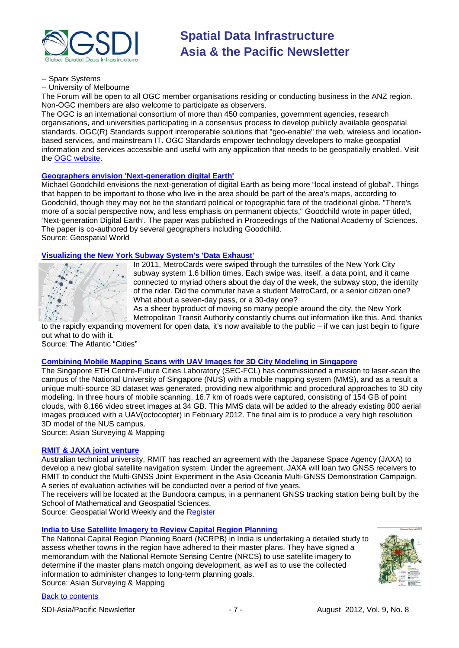

-- Sparx Systems

-- University of Melbourne

The Forum will be open to all OGC member organisations residing or conducting business in the ANZ region. Non-OGC members are also welcome to participate as observers.

The OGC is an international consortium of more than 450 companies, government agencies, research organisations, and universities participating in a consensus process to develop publicly available geospatial standards. OGC(R) Standards support interoperable solutions that "geo-enable" the web, wireless and locationbased services, and mainstream IT. OGC Standards empower technology developers to make geospatial information and services accessible and useful with any application that needs to be geospatially enabled. Visit the [OGC website.](http://www.opengeospatial.org/)

### **Geographers envision 'Next-generation digital Earth'**

Michael Goodchild envisions the next-generation of digital Earth as being more "local instead of global". Things that happen to be important to those who live in the area should be part of the area's maps, according to Goodchild, though they may not be the standard political or topographic fare of the traditional globe. "There's more of a social perspective now, and less emphasis on permanent objects," Goodchild wrote in paper titled, 'Next-generation Digital Earth'. The paper was published in Proceedings of the National Academy of Sciences. The paper is co-authored by several geographers including Goodchild. Source: Geospatial World

# **[Visualizing the New York Subway System's 'Data Exhaust'](http://www.theatlanticcities.com/commute/2012/07/visualizing-new-york-subway-systems-data-exhaust/2720/)**



In 2011, MetroCards were swiped through the turnstiles of the New York City subway system 1.6 billion times. Each swipe was, itself, a data point, and it came connected to myriad others about the day of the week, the subway stop, the identity of the rider. Did the commuter have a student MetroCard, or a senior citizen one? What about a seven-day pass, or a 30-day one?

As a sheer byproduct of moving so many people around the city, the New York Metropolitan Transit Authority constantly churns out information like this. And, thanks

to the rapidly expanding movement for open data, it's now available to the public – if we can just begin to figure out what to do with it. Source: The Atlantic "Cities"

### **[Combining Mobile Mapping Scans with UAV Images for 3D City Modeling in Singapore](http://www.asmmag.com/combing-mobile-and-uav-scans-for-3d-city-modeling-in-singapore.html)**

The Singapore ETH Centre-Future Cities Laboratory (SEC-FCL) has commissioned a mission to laser-scan the campus of the National University of Singapore (NUS) with a mobile mapping system (MMS), and as a result a unique multi-source 3D dataset was generated, providing new algorithmic and procedural approaches to 3D city modeling. In three hours of mobile scanning, 16.7 km of roads were captured, consisting of 154 GB of point clouds, with 8,166 video street images at 34 GB. This MMS data will be added to the already existing 800 aerial images produced with a UAV(octocopter) in February 2012. The final aim is to produce a very high resolution 3D model of the NUS campus.

Source: Asian Surveying & Mapping

### **[RMIT & JAXA joint venture](http://www.geospatialworld.net/index.php?option=com_content&view=article&id=25292%3Aaustralian-varsity-jaxa-to-develop-new-gnss&catid=67%3Abusiness-general&Itemid=1)**

Australian technical university, RMIT has reached an agreement with the Japanese Space Agency (JAXA) to develop a new global satellite navigation system. Under the agreement, JAXA will loan two GNSS receivers to RMIT to conduct the Multi-GNSS Joint Experiment in the Asia-Oceania Multi-GNSS Demonstration Campaign. A series of evaluation activities will be conducted over a period of five years.

The receivers will be located at the Bundoora campus, in a permanent GNSS tracking station being built by the School of Mathematical and Geospatial Sciences.

Source: Geospatial World Weekly and the [Register](http://www.theregister.co.uk/2012/07/17/rmit_hooks_up_with_japan_sats/)

### **[India to Use Satellite Imagery to Review Capital Region Planning](http://www.asmmag.com/201207123926/india-to-use-satellite-imagery-to-review-capital-region-planning.html)**

The National Capital Region Planning Board (NCRPB) in India is undertaking a detailed study to assess whether towns in the region have adhered to their master plans. They have signed a memorandum with the National Remote Sensing Centre (NRCS) to use satellite imagery to determine if the master plans match ongoing development, as well as to use the collected information to administer changes to long-term planning goals. Source: Asian Surveying & Mapping



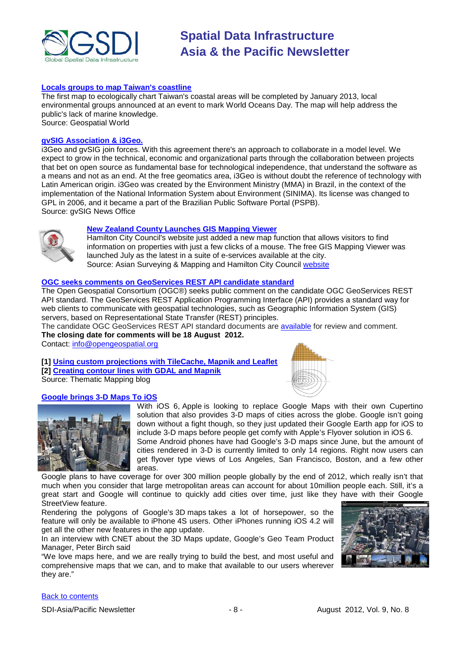

### **[Locals groups to map Taiwan's coastline](http://geospatialworld.net/index.php?option=com_content&view=article&id=25002%3Alocals-groups-to-map-taiwans-coastline&catid=47%3Aproduct-surveying-mapping&Itemid=1)**

The first map to ecologically chart Taiwan's coastal areas will be completed by January 2013, local environmental groups announced at an event to mark World Oceans Day. The map will help address the public's lack of marine knowledge. Source: Geospatial World

**[gvSIG Association & i3Geo.](http://www.gvsig.org/web/projects/i3Geo)**

i3Geo and gvSIG join forces. With this agreement there's an approach to collaborate in a model level. We expect to grow in the technical, economic and organizational parts through the collaboration between projects that bet on open source as fundamental base for technological independence, that understand the software as a means and not as an end. At the free geomatics area, i3Geo is without doubt the reference of technology with Latin American origin. i3Geo was created by the Environment Ministry (MMA) in Brazil, in the context of the implementation of the National Information System about Environment (SINIMA). Its license was changed to GPL in 2006, and it became a part of the Brazilian Public Software Portal (PSPB). Source: gvSIG News Office

# **[New Zealand County Launches GIS Mapping Viewer](http://www.asmmag.com/201207163931/new-zealand-county-launches-gis-mapping-viewer.html)**

Hamilton City Council's website just added a new map function that allows visitors to find information on properties with just a few clicks of a mouse. The free GIS Mapping Viewer was launched July as the latest in a suite of e-services available at the city. Source: Asian Surveying & Mapping and Hamilton City Council [website](http://www.hamilton.co.nz/our-services/gis-property-mapping/Pages/default.aspx)

### **OGC seeks comments on GeoServices REST API candidate standard**

The Open Geospatial Consortium (OGC®) seeks public comment on the candidate OGC GeoServices REST API standard. The GeoServices REST Application Programming Interface (API) provides a standard way for web clients to communicate with geospatial technologies, such as Geographic Information System (GIS) servers, based on Representational State Transfer (REST) principles.

The candidate OGC GeoServices REST API standard documents are [available](http://www.opengeospatial.org/standards/requests/89) for review and comment. **The closing date for comments will be 18 August 2012.** 

Contact: [info@opengeospatial.org](mailto:info@opengeospatial.org)

**[\[1\] Using custom projections with TileCache, Mapnik and Leaflet](http://blog.thematicmapping.org/2012/07/using-custom-projections-with-tilecache.html) [2] [Creating contour lines with GDAL and Mapnik](http://blog.thematicmapping.org/2012/07/creating-contour-lines-with-gdal-and.html?utm_source=feedburner&utm_medium=email&utm_campaign=Feed%3A+thematicmapping+%28thematic+mapping+blog%25)**



Source: Thematic Mapping blog

### **[Google brings 3-D Maps To iOS](http://news.cnet.com/8301-1023_3-57480273-93/googles-neato-3d-city-view-arrives-on-ios-today/)**



With iOS 6, Apple is looking to replace Google Maps with their own Cupertino solution that also provides 3-D maps of cities across the globe. Google isn't going down without a fight though, so they just updated their Google Earth app for iOS to include 3-D maps before people get comfy with Apple's Flyover solution in iOS 6.

Some Android phones have had Google's 3-D maps since June, but the amount of cities rendered in 3-D is currently limited to only 14 regions. Right now users can get flyover type views of Los Angeles, San Francisco, Boston, and a few other areas.

Google plans to have coverage for over 300 million people globally by the end of 2012, which really isn't that much when you consider that large metropolitan areas can account for about 10million people each. Still, it's a great start and Google will continue to quickly add cities over time, just like they have with their Google StreetView feature.

Rendering the polygons of Google's 3D maps takes a lot of horsepower, so the feature will only be available to iPhone 4S users. Other iPhones running iOS 4.2 will get all the other new features in the app update.

In an interview with CNET about the 3D Maps update, Google's Geo Team Product Manager, Peter Birch said

"We love maps here, and we are really trying to build the best, and most useful and comprehensive maps that we can, and to make that available to our users wherever they are."



[Back to contents](#page-0-0)

SDI-Asia/Pacific Newsletter  $\begin{array}{ccc} -8 \\ - \end{array}$  - 8 - August 2012, Vol. 9, No. 8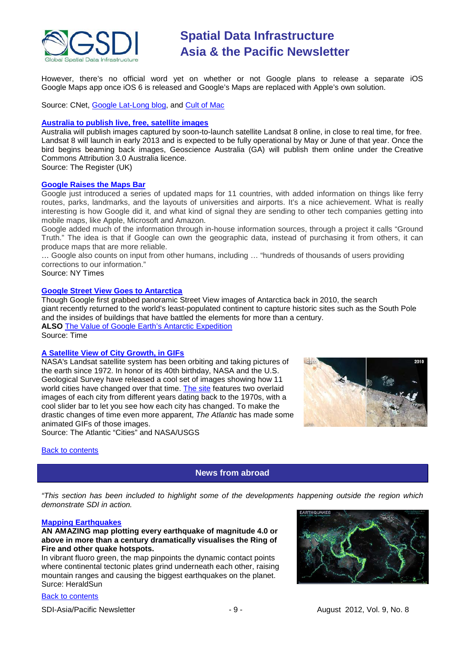

However, there's no official word yet on whether or not Google plans to release a separate iOS Google Maps app once iOS 6 is released and Google's Maps are replaced with Apple's own solution.

Source: CNet, [Google Lat-Long blog,](http://google-latlong.blogspot.com.au/2012/07/3d-imagery-now-available-on-ipad-and.html) and [Cult of Mac](http://www.cultofmac.com/181261/google-just-brought-3-d-maps-to-ios-before-apple-could/)

### **[Australia to publish live, free, satellite images](http://www.theregister.co.uk/2012/07/22/australia_landsat_free_images_online/)**

Australia will publish images captured by soon-to-launch satellite Landsat 8 online, in close to real time, for free. Landsat 8 will launch in early 2013 and is expected to be fully operational by May or June of that year. Once the bird begins beaming back images, Geoscience Australia (GA) will publish them online under the Creative Commons Attribution 3.0 Australia licence.

Source: The Register (UK)

### **[Google Raises the Maps Bar](http://bits.blogs.nytimes.com/2012/07/20/google-raises-the-maps-bar/)**

Google just introduced a series of updated maps for 11 countries, with added information on things like ferry routes, parks, landmarks, and the layouts of universities and airports. It's a nice achievement. What is really interesting is how Google did it, and what kind of signal they are sending to other tech companies getting into mobile maps, like Apple, Microsoft and Amazon.

Google added much of the information through in-house information sources, through a project it calls "Ground Truth." The idea is that if Google can own the geographic data, instead of purchasing it from others, it can produce maps that are more reliable.

… Google also counts on input from other humans, including … "hundreds of thousands of users providing corrections to our information."

Source: NY Times

### **[Google Street View Goes to Antarctica](http://lightbox.time.com/2012/07/17/google-street-view-goes-to-antarctica/#end)**

Though Google first grabbed panoramic Street View images of Antarctica back in 2010, the search giant recently returned to the world's least-populated continent to capture historic sites such as the South Pole and the insides of buildings that have battled the elements for more than a century. **ALSO** [The Value of Google Earth's Antarctic Expedition](http://ecocentric.blogs.time.com/2012/07/19/the-value-of-google-earths-antarctic-expedition/) Source: Time

### **A Satellite View of City Growth, in GIFs**

NASA's Landsat satellite system has been orbiting and taking pictures of the earth since 1972. In honor of its 40th birthday, NASA and the U.S. Geological Survey have released a cool set of images showing how 11 world cities have changed over that time. [The](http://www.nasa.gov/mission_pages/landsat/news/40th-changepairs.html) site features two overlaid images of each city from different years dating back to the 1970s, with a cool slider bar to let you see how each city has changed. To make the drastic changes of time even more apparent, *The Atlantic* has made some animated GIFs of those images. Source: The Atlantic "Cities" and NASA/USGS



<span id="page-8-0"></span>**[Back to contents](#page-0-0)** 

### **News from abroad**

*"This section has been included to highlight some of the developments happening outside the region which demonstrate SDI in action.*

#### **[Mapping Earthquakes](http://www.heraldsun.com.au/news/world/every-big-earthquake-since-1898-mapped/story-fnd134gw-1226422410821)**

### **AN AMAZING map plotting every earthquake of magnitude 4.0 or above in more than a century dramatically visualises the Ring of Fire and other quake hotspots.**

In vibrant fluoro green, the map pinpoints the dynamic contact points where continental tectonic plates grind underneath each other, raising mountain ranges and causing the biggest earthquakes on the planet. Surce: HeraldSun

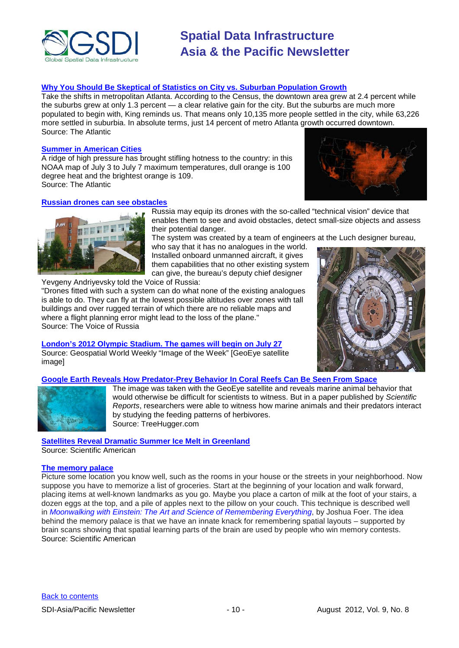

### **[Why You Should Be Skeptical of Statistics on City vs. Suburban Population Growth](http://www.theatlanticcities.com/arts-and-lifestyle/2012/07/why-you-should-be-skeptical-latest-statistics-city-vs-suburban-population-growth/2571/)**

Take the shifts in metropolitan Atlanta. According to the Census, the downtown area grew at 2.4 percent while the suburbs grew at only 1.3 percent — a clear relative gain for the city. But the suburbs are much more populated to begin with, King reminds us. That means only 10,135 more people settled in the city, while 63,226 more settled in suburbia. In absolute terms, just 14 percent of metro Atlanta growth occurred downtown. Source: The Atlantic

### **[Summer in American Cities](http://www.theatlanticcities.com/neighborhoods/2012/07/8-worst-things-about-summer-american-cities/2502/#slide1)**

A ridge of high pressure has brought stifling hotness to the country: in this NOAA map of July 3 to July 7 maximum temperatures, dull orange is 100 degree heat and the brightest orange is 109. Source: The Atlantic



### **[Russian drones can see obstacles](http://english.ruvr.ru/2012_07_11/Russian-drones-can-see-obstacles/)**



Russia may equip its drones with the so-called "technical vision" device that enables them to see and avoid obstacles, detect small-size objects and assess their potential danger.

The system was created by a team of engineers at the Luch designer bureau,

who say that it has no analogues in the world. Installed onboard unmanned aircraft, it gives them capabilities that no other existing system can give, the bureau's deputy chief designer

Yevgeny Andriyevsky told the Voice of Russia:

"Drones fitted with such a system can do what none of the existing analogues is able to do. They can fly at the lowest possible altitudes over zones with tall buildings and over rugged terrain of which there are no reliable maps and where a flight planning error might lead to the loss of the plane." Source: The Voice of Russia

**[London's 2012 Olympic Stadium. The games will begin on July 27](http://geospatialworld.net/index.php?option=com_imageoftheweek&view=managetemplate&id=92&Itemid=139&year=2012)** Source: Geospatial World Weekly "Image of the Week" [GeoEye satellite image]



### **[Google Earth Reveals How Predator-Prey Behavior In Coral Reefs Can Be Seen From Space](http://www.treehugger.com/natural-sciences/google-earth-reveals-how-predator-prey-behavior-in-coral-reefs-can-be-seen-from-space.html)**



The image was taken with the GeoEye satellite and reveals marine animal behavior that would otherwise be difficult for scientists to witness. But in a paper published by *Scientific Reports*, researchers were able to witness how marine animals and their predators interact by studying the feeding patterns of herbivores. Source: TreeHugger.com

### **[Satellites Reveal Dramatic Summer Ice Melt in Greenland](http://www.scientificamerican.com/video.cfm?id=satellites-reveal-dramatic-summer-2012-07-25&WT.mc_id=SA_DD_20120727)**

Source: Scientific American

### **[The memory palace](http://blogs.scientificamerican.com/unofficial-prognosis/2012/07/26/drinking-from-a-firehose-can-research-into-the-human-mind-help-with-medial-school-memorization/?WT_mc_id=SA_DD_20120727)**

Picture some location you know well, such as the rooms in your house or the streets in your neighborhood. Now suppose you have to memorize a list of groceries. Start at the beginning of your location and walk forward, placing items at well-known landmarks as you go. Maybe you place a carton of milk at the foot of your stairs, a dozen eggs at the top, and a pile of apples next to the pillow on your couch. This technique is described well in *[Moonwalking with Einstein: The Art and Science of Remembering](http://www.amazon.com/Moonwalking-Einstein-Science-Remembering-Everything/dp/159420229X) <i>Everything*, by Joshua Foer. The idea behind the memory palace is that we have an innate knack for remembering spatial layouts – supported by brain scans showing that spatial learning parts of the brain are used by people who win memory contests. Source: Scientific American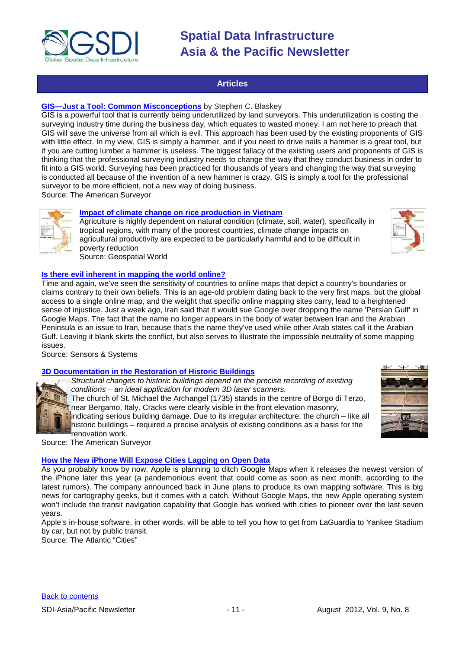

### **Articles**

### <span id="page-10-0"></span>**[GIS—Just a Tool: Common Misconceptions](http://www.amerisurv.com/content/view/10230/153/)** by Stephen C. Blaskey

GIS is a powerful tool that is currently being underutilized by land surveyors. This underutilization is costing the surveying industry time during the business day, which equates to wasted money. I am not here to preach that GIS will save the universe from all which is evil. This approach has been used by the existing proponents of GIS with little effect. In my view, GIS is simply a hammer, and if you need to drive nails a hammer is a great tool, but if you are cutting lumber a hammer is useless. The biggest fallacy of the existing users and proponents of GIS is thinking that the professional surveying industry needs to change the way that they conduct business in order to fit into a GIS world. Surveying has been practiced for thousands of years and changing the way that surveying is conducted all because of the invention of a new hammer is crazy. GIS is simply a tool for the professional surveyor to be more efficient, not a new way of doing business.

Source: The American Surveyor

### **Impact of climate change on rice production in Vietnam**

Agriculture is highly dependent on natural condition (climate, soil, water), specifically in tropical regions, with many of the poorest countries, climate change impacts on agricultural productivity are expected to be particularly harmful and to be difficult in poverty reduction Source: Geospatial World

### **[Is there evil inherent in mapping the world online?](http://www.sensysmag.com/dialog/perspectives/27175-is-there-evil-in-mapping-the-world-online.html)**

Time and again, we've seen the sensitivity of countries to online maps that depict a country's boundaries or claims contrary to their own beliefs. This is an age-old problem dating back to the very first maps, but the global access to a single online map, and the weight that specific online mapping sites carry, lead to a heightened sense of injustice. Just a week ago, Iran said that it would sue Google over dropping the name 'Persian Gulf' in Google Maps. The fact that the name no longer appears in the body of water between Iran and the Arabian Peninsula is an issue to Iran, because that's the name they've used while other Arab states call it the Arabian Gulf. Leaving it blank skirts the conflict, but also serves to illustrate the impossible neutrality of some mapping issues.

Source: Sensors & Systems

### **3D Documentation in the Restoration of Historic Buildings**

*Structural changes to historic buildings depend on the precise recording of existing conditions – an ideal application for modern 3D laser scanners.*

The church of St. Michael the Archangel (1735) stands in the centre of Borgo di Terzo, near Bergamo, Italy. Cracks were clearly visible in the front elevation masonry,

indicating serious building damage. Due to its irregular architecture, the church – like all historic buildings – required a precise analysis of existing conditions as a basis for the renovation work.

Source: The American Surveyor

## **[How the New iPhone Will Expose Cities Lagging on Open Data](http://www.theatlanticcities.com/commute/2012/07/how-new-iphone-will-expose-cities-lagging-open-data/2598/)**

As you probably know by now, Apple is planning to ditch Google Maps when it releases the newest version of the iPhone later this year (a pandemonious event that could come as soon as next month, according to the latest rumors). The company announced back in June plans to produce its own mapping software. This is big news for cartography geeks, but it comes with a catch. Without Google Maps, the new Apple operating system won't include the transit navigation capability that Google has worked with cities to pioneer over the last seven years.

Apple's in-house software, in other words, will be able to tell you how to get from LaGuardia to Yankee Stadium by car, but not by public transit.

Source: The Atlantic "Cities"



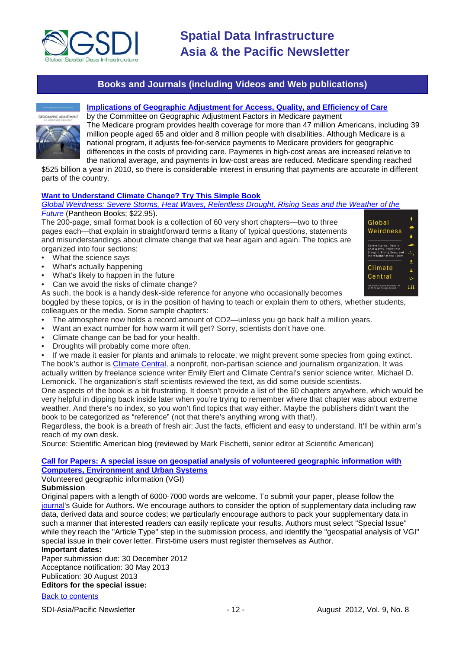

### **Books and Journals (including Videos and Web publications)**

<span id="page-11-0"></span>**CORAPHIC ADJUSTMENT** 

### **[Implications of Geographic Adjustment for Access, Quality, and Efficiency of Care](http://www.nap.edu/openbook.php?record_id=13420&page=1)**

by the Committee on Geographic Adjustment Factors in Medicare payment The Medicare program provides health coverage for more than 47 million Americans, including 39 million people aged 65 and older and 8 million people with disabilities. Although Medicare is a national program, it adjusts fee-for-service payments to Medicare providers for geographic differences in the costs of providing care. Payments in high-cost areas are increased relative to the national average, and payments in low-cost areas are reduced. Medicare spending reached

\$525 billion a year in 2010, so there is considerable interest in ensuring that payments are accurate in different parts of the country.

### **[Want to Understand Climate Change? Try This Simple Book](http://blogs.scientificamerican.com/observations/2012/07/24/want-to-understand-climate-change-try-this-simple-book/)**

### *[Global Weirdness: Severe Storms, Heat Waves, Relentless Drought, Rising Seas and the Weather of the](http://pantheon.knopfdoubleday.com/2012/06/25/global-weirdness-by-climate-central/)  [Future](http://pantheon.knopfdoubleday.com/2012/06/25/global-weirdness-by-climate-central/)* (Pantheon Books; \$22.95).

The 200-page, small format book is a collection of 60 very short chapters—two to three pages each—that explain in straightforward terms a litany of typical questions, statements and misunderstandings about climate change that we hear again and again. The topics are organized into four sections:

- What the science says
- What's actually happening
- What's likely to happen in the future
- Can we avoid the risks of climate change?
- As such, the book is a handy desk-side reference for anyone who occasionally becomes

boggled by these topics, or is in the position of having to teach or explain them to others, whether students, colleagues or the media. Some sample chapters:

- The atmosphere now holds a record amount of CO2—unless you go back half a million years.
- Want an exact number for how warm it will get? Sorry, scientists don't have one.
- Climate change can be bad for your health.
- Droughts will probably come more often.

If we made it easier for plants and animals to relocate, we might prevent some species from going extinct. The book's author is Climate [Central,](http://www.climatecentral.org/) a nonprofit, non-partisan science and journalism organization. It was actually written by freelance science writer Emily Elert and Climate Central's senior science writer, Michael D. Lemonick. The organization's staff scientists reviewed the text, as did some outside scientists.

One aspects of the book is a bit frustrating. It doesn't provide a list of the 60 chapters anywhere, which would be very helpful in dipping back inside later when you're trying to remember where that chapter was about extreme weather. And there's no index, so you won't find topics that way either. Maybe the publishers didn't want the book to be categorized as "reference" (not that there's anything wrong with that!).

Regardless, the book is a breath of fresh air: Just the facts, efficient and easy to understand. It'll be within arm's reach of my own desk.

Source: Scientific American blog (reviewed by Mark Fischetti, senior editor at Scientific American)

### **[Call for Papers: A special issue on geospatial analysis of volunteered geographic information with](http://www.journals.elsevier.com/computers-environment-and-urban-systems/call-for-papers/call-for-papers-a-special-issue-on-geospatial/)  [Computers, Environment and Urban Systems](http://www.journals.elsevier.com/computers-environment-and-urban-systems/call-for-papers/call-for-papers-a-special-issue-on-geospatial/)**

Volunteered geographic information (VGI)

### **Submission**

Original papers with a length of 6000-7000 words are welcome. To submit your paper, please follow the [journal's](http://ees.elsevier.com/ceus/) Guide for Authors. We encourage authors to consider the option of supplementary data including raw data, derived data and source codes; we particularly encourage authors to pack your supplementary data in such a manner that interested readers can easily replicate your results. Authors must select "Special Issue" while they reach the "Article Type" step in the submission process, and identify the "geospatial analysis of VGI" special issue in their cover letter. First-time users must register themselves as Author.

### **Important dates:**

Paper submission due: 30 December 2012 Acceptance notification: 30 May 2013 Publication: 30 August 2013

### **Editors for the special issue:**

### [Back to contents](#page-0-0)

SDI-Asia/Pacific Newsletter  $\sim$  12 - August 2012, Vol. 9, No. 8

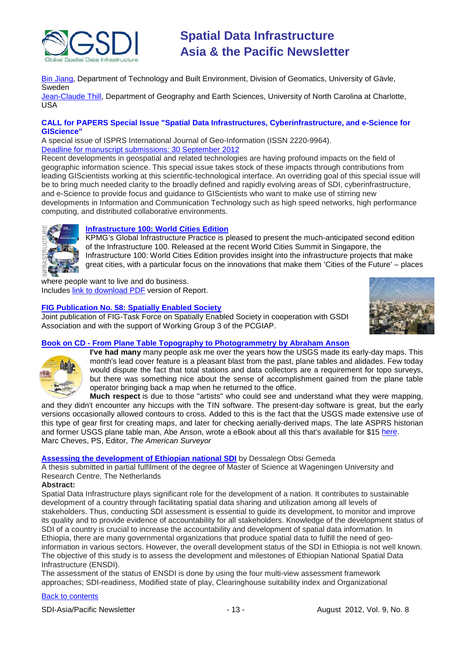

[Bin Jiang,](mailto:bin.jiang@hig.se) Department of Technology and Built Environment, Division of Geomatics, University of Gävle, Sweden

[Jean-Claude Thill,](mailto:Jean-Claude.Thill@uncc.edu) Department of Geography and Earth Sciences, University of North Carolina at Charlotte, USA

### **CALL for PAPERS Special Issue "Spatial Data Infrastructures, Cyberinfrastructure, and e-Science for GIScience"**

A special issue of ISPRS International Journal of Geo-Information (ISSN 2220-9964). [Deadline for manuscript submissions: 30 September 2012](http://www.mdpi.com/journal/ijgi/special_issues/spatial_data/)

Recent developments in geospatial and related technologies are having profound impacts on the field of geographic information science. This special issue takes stock of these impacts through contributions from leading GIScientists working at this scientific-technological interface. An overriding goal of this special issue will be to bring much needed clarity to the broadly defined and rapidly evolving areas of SDI, cyberinfrastructure, and e-Science to provide focus and guidance to GIScientists who want to make use of stirring new developments in Information and Communication Technology such as high speed networks, high performance computing, and distributed collaborative environments.



### **[Infrastructure 100: World Cities Edition](http://www.kpmg.com/Global/en/WhatWeDo/Special-Interests/infra100-world-cities/Pages/infrastructure-world-cities.aspx)**

KPMG's Global Infrastructure Practice is pleased to present the much-anticipated second edition of the Infrastructure 100. Released at the recent World Cities Summit in Singapore, the Infrastructure 100: World Cities Edition provides insight into the infrastructure projects that make great cities, with a particular focus on the innovations that make them 'Cities of the Future' – places

where people want to live and do business. Includes [link to download PDF](http://www.kpmg.com/Global/en/WhatWeDo/Special-Interests/infra100-world-cities/Documents/Infrastructure-100-world-cities-2012.pdf) version of Report.

### **[FIG Publication No. 58: Spatially Enabled Society](http://www.fig.net/pub/figpub/pub58/figpub58.pdf)**

Joint publication of FIG-Task Force on Spatially Enabled Society in cooperation with GSDI Association and with the support of Working Group 3 of the PCGIAP.



### **Book on CD - [From Plane Table Topography to Photogrammetry by Abraham Anson](https://www.theamericansurveyor.com/storefront/view_item.php?&x_item_id=111)**



**I've had many** many people ask me over the years how the USGS made its early-day maps. This month's lead cover feature is a pleasant blast from the past, plane tables and alidades. Few today would dispute the fact that total stations and data collectors are a requirement for topo surveys, but there was something nice about the sense of accomplishment gained from the plane table operator bringing back a map when he returned to the office.

**Much respect** is due to those "artists" who could see and understand what they were mapping, and they didn't encounter any hiccups with the TIN software. The present-day software is great, but the early versions occasionally allowed contours to cross. Added to this is the fact that the USGS made extensive use of this type of gear first for creating maps, and later for checking aerially-derived maps. The late ASPRS historian and former USGS plane table man, Abe Anson, wrote a eBook about all this that's available for \$15 [here.](https://www.theamericansurveyor.com/storefront/view_item.php?&x_item_id=111) Marc Cheves, PS, Editor, *The American Surveyor*

### **[Assessing the development of Ethiopian national SDI](http://edepot.wur.nl/203038)** by Dessalegn Obsi Gemeda

A thesis submitted in partial fulfilment of the degree of Master of Science at Wageningen University and Research Centre, The Netherlands

### **Abstract:**

Spatial Data Infrastructure plays significant role for the development of a nation. It contributes to sustainable development of a country through facilitating spatial data sharing and utilization among all levels of stakeholders. Thus, conducting SDI assessment is essential to guide its development, to monitor and improve its quality and to provide evidence of accountability for all stakeholders. Knowledge of the development status of SDI of a country is crucial to increase the accountability and development of spatial data information. In Ethiopia, there are many governmental organizations that produce spatial data to fulfill the need of geoinformation in various sectors. However, the overall development status of the SDI in Ethiopia is not well known. The objective of this study is to assess the development and milestones of Ethiopian National Spatial Data Infrastructure (ENSDI).

The assessment of the status of ENSDI is done by using the four multi-view assessment framework approaches; SDI-readiness, Modified state of play, Clearinghouse suitability index and Organizational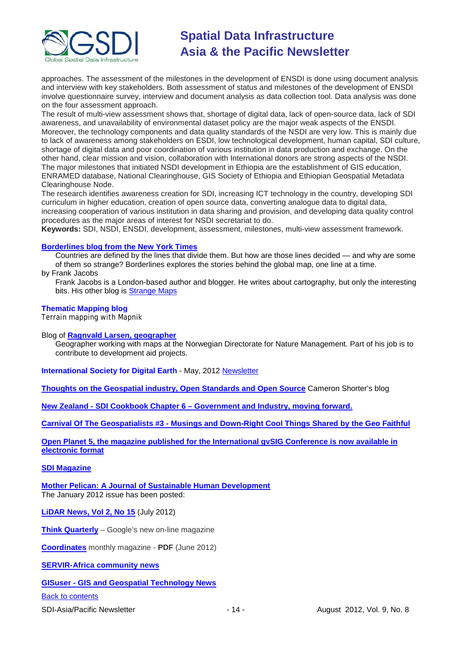

approaches. The assessment of the milestones in the development of ENSDI is done using document analysis and interview with key stakeholders. Both assessment of status and milestones of the development of ENSDI involve questionnaire survey, interview and document analysis as data collection tool. Data analysis was done on the four assessment approach.

The result of multi-view assessment shows that, shortage of digital data, lack of open-source data, lack of SDI awareness, and unavailability of environmental dataset policy are the major weak aspects of the ENSDI. Moreover, the technology components and data quality standards of the NSDI are very low. This is mainly due to lack of awareness among stakeholders on ESDI, low technological development, human capital, SDI culture, shortage of digital data and poor coordination of various institution in data production and exchange. On the other hand, clear mission and vision, collaboration with International donors are strong aspects of the NSDI. The major milestones that initiated NSDI development in Ethiopia are the establishment of GIS education, ENRAMED database, National Clearinghouse, GIS Society of Ethiopia and Ethiopian Geospatial Metadata Clearinghouse Node.

The research identifies awareness creation for SDI, increasing ICT technology in the country, developing SDI curriculum in higher education, creation of open source data, converting analogue data to digital data, increasing cooperation of various institution in data sharing and provision, and developing data quality control procedures as the major areas of interest for NSDI secretariat to do.

**Keywords:** SDI, NSDI, ENSDI, development, assessment, milestones, multi-view assessment framework.

### **[Borderlines blog from the New York Times](http://opinionator.blogs.nytimes.com/category/borderlines/)**

Countries are defined by the lines that divide them. But how are those lines decided — and why are some of them so strange? Borderlines explores the stories behind the global map, one line at a time.

by Frank Jacobs

Frank Jacobs is a London-based author and blogger. He writes about cartography, but only the interesting bits. His other blog is [Strange Maps](http://bigthink.com/blogs/strange-maps)

### **[Thematic Mapping blog](http://blog.thematicmapping.org/)**

Terrain mapping with Mapnik

Blog of **[Ragnvald Larsen, geographer](http://www.mindland.com/wp/)**

Geographer working with maps at the Norwegian Directorate for Nature Management. Part of his job is to contribute to development aid projects.

**International Society for Digital Earth - May, 2012 [Newsletter](http://www.digitalearth-isde.org/news/isde-newsletter(20120508).html)** 

**[Thoughts on the Geospatial industry, Open Standards and Open Source](http://cameronshorter.blogspot.com/2011/06/memoirs-of-cat-herder-coordinating.html)** Cameron Shorter's blog

**New Zealand - SDI Cookbook Chapter 6 – [Government and Industry, moving forward.](http://www.geospatial.govt.nz/sdi-cookbook-chapter-6-government-and-industry-moving-forward)**

**Carnival Of The Geospatialists #3 - [Musings and Down-Right Cool Things Shared by the Geo Faithful](http://www.gisuser.com/content/view/25690/28/)**

**Open Planet 5, the magazine published for the International gvSIG Conference is now available in [electronic format](http://jornadas.gvsig.org/descargas/magazine)**

### **[SDI Magazine](http://www.sdimag.com/)**

**[Mother Pelican: A Journal of Sustainable Human Development](http://www.pelicanweb.org/solisustv08n01page1.html)** The January 2012 issue has been posted:

**[LiDAR News, Vol 2, No 15](http://www.lidarnews.com/newsletter/Vol2No15.htm)** (July 2012)

**[Think Quarterly](http://thinkquarterly.co.uk/#aboutthebook)** – Google's new on-line magazine

**[Coordinates](http://mycoordinates.org/pdf/jun12.pdf)** monthly magazine - **PDF** (June 2012)

**[SERVIR-Africa community news](http://www.servirglobal.net/africa/en/News/CommunityNews.aspx)**

**GISuser - [GIS and Geospatial Technology News](http://www.gisuser.com/)**

### [Back to contents](#page-0-0)

SDI-Asia/Pacific Newsletter  $-14 -$  - 14 - August 2012, Vol. 9, No. 8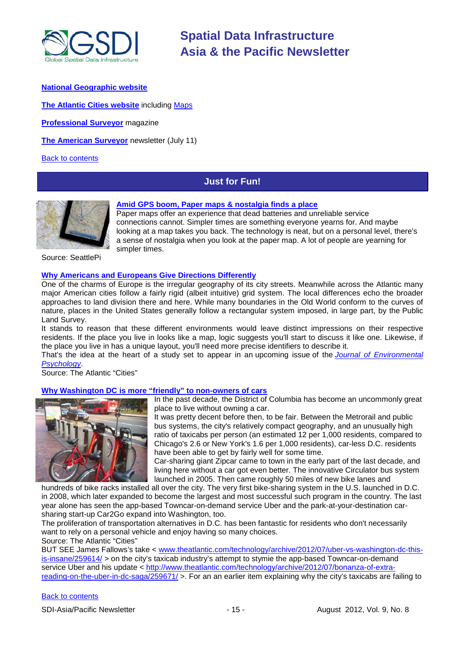

### **[National Geographic](http://www.nationalgeographic.com/) website**

**[The Atlantic Cities website](http://www.theatlanticcities.com/)** including [Maps](http://www.theatlanticcities.com/posts/map/)

**[Professional Surveyor](http://www.profsurv.com/)** magazine

**[The American Surveyor](http://www.amerisurv.com/newsletter/11JUL2012.htm)** newsletter (July 11)

<span id="page-14-0"></span>[Back to contents](#page-0-0)

# **Just for Fun!**



### **[Amid GPS boom, Paper maps & nostalgia finds a place](http://www.seattlepi.com/news/article/Paper-maps-Amid-GPS-boom-nostalgia-finds-a-place-3680443.php)**

Paper maps offer an experience that dead batteries and unreliable service connections cannot. Simpler times are something everyone yearns for. And maybe looking at a map takes you back. The technology is neat, but on a personal level, there's a sense of nostalgia when you look at the paper map. A lot of people are yearning for simpler times.

Source: SeattlePi

### **[Why Americans and Europeans Give Directions Differently](http://www.theatlanticcities.com/commute/2012/07/why-americans-and-europeans-give-directions-differently/2494/)**

One of the charms of Europe is the irregular geography of its city streets. Meanwhile across the Atlantic many major American cities follow a fairly rigid (albeit intuitive) grid system. The local differences echo the broader approaches to land division there and here. While many boundaries in the Old World conform to the curves of nature, places in the United States generally follow a rectangular system imposed, in large part, by the Public Land Survey.

It stands to reason that these different environments would leave distinct impressions on their respective residents. If the place you live in looks like a map, logic suggests you'll start to discuss it like one. Likewise, if the place you live in has a unique layout, you'll need more precise identifiers to describe it.

That's the idea at the heart of a study set to appear in an upcoming issue of the *[Journal of Environmental](http://www.sciencedirect.com/science/article/pii/S0272494412000394)  [Psychology](http://www.sciencedirect.com/science/article/pii/S0272494412000394)*.

Source: The Atlantic "Cities"

**[Why Washington DC is more "friendly" to non-owners of cars](http://www.theatlanticcities.com/commute/2012/07/end-taxis/2353/)**



In the past decade, the District of Columbia has become an uncommonly great place to live without owning a car.

It was pretty decent before then, to be fair. Between the Metrorail and public bus systems, the city's relatively compact geography, and an unusually high ratio of taxicabs per person (an estimated 12 per 1,000 residents, compared to Chicago's 2.6 or New York's 1.6 per 1,000 residents), car-less D.C. residents have been able to get by fairly well for some time.

Car-sharing giant Zipcar came to town in the early part of the last decade, and living here without a car got even better. The innovative Circulator bus system launched in 2005. Then came roughly 50 miles of new bike lanes and

hundreds of bike racks installed all over the city. The very first bike-sharing system in the U.S. launched in D.C. in 2008, which later expanded to become the largest and most successful such program in the country. The last year alone has seen the app-based Towncar-on-demand service Uber and the park-at-your-destination carsharing start-up Car2Go expand into Washington, too.

The proliferation of transportation alternatives in D.C. has been fantastic for residents who don't necessarily want to rely on a personal vehicle and enjoy having so many choices.

Source: The Atlantic "Cities"

BUT SEE James Fallows's take < [www.theatlantic.com/technology/archive/2012/07/uber-vs-washington-dc-this](http://www.theatlantic.com/technology/archive/2012/07/uber-vs-washington-dc-this-is-insane/259614/)[is-insane/259614/](http://www.theatlantic.com/technology/archive/2012/07/uber-vs-washington-dc-this-is-insane/259614/) > on the city's taxicab industry's attempt to stymie the app-based Towncar-on-demand service Uber and his update < [http://www.theatlantic.com/technology/archive/2012/07/bonanza-of-extra](http://www.theatlantic.com/technology/archive/2012/07/bonanza-of-extra-reading-on-the-uber-in-dc-saga/259671/)[reading-on-the-uber-in-dc-saga/259671/](http://www.theatlantic.com/technology/archive/2012/07/bonanza-of-extra-reading-on-the-uber-in-dc-saga/259671/) >. For an an earlier item explaining why the city's taxicabs are failing to

### [Back to contents](#page-0-0)

SDI-Asia/Pacific Newsletter 1992 - 15 - 15 - 15 - August 2012, Vol. 9, No. 8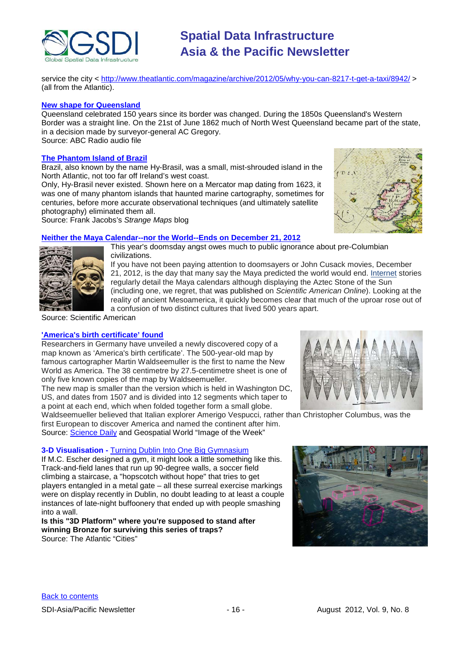

service the city <<http://www.theatlantic.com/magazine/archive/2012/05/why-you-can-8217-t-get-a-taxi/8942/> > (all from the Atlantic).

### **[New shape for Queensland](http://blogs.abc.net.au/queensland/2012/06/new-shape-for-queensland.html)**

Queensland celebrated 150 years since its border was changed. During the 1850s Queensland's Western Border was a straight line. On the 21st of June 1862 much of North West Queensland became part of the state, in a decision made by surveyor-general AC Gregory. Source: ABC Radio audio file

### **[The Phantom Island of Brazil](http://bigthink.com/strange-maps/572-the-phantom-island-of-brazil)**

Brazil, also known by the name Hy-Brasil, was a small, mist-shrouded island in the North Atlantic, not too far off Ireland's west coast.

Only, Hy-Brasil never existed. Shown here on a Mercator map dating from 1623, it was one of many phantom islands that haunted marine cartography, sometimes for centuries, before more accurate observational techniques (and ultimately satellite photography) eliminated them all.

Source: Frank Jacobs's *Strange Maps* blog

### **Neither the Maya Calendar--nor the World--Ends on December 21, 2012**

This year's doomsday angst owes much to public ignorance about pre-Columbian civilizations.

If you have not been paying attention to doomsayers or John Cusack movies, December 21, 2012, is the day that many say the Maya predicted the world would end. [Internet](http://www.scientificamerican.com/topic.cfm?id=internet) stories regularly detail the Maya calendars although displaying the Aztec Stone of the Sun (including one, we regret, that was published on *Scientific American Online*). Looking at the reality of ancient Mesoamerica, it quickly becomes clear that much of the uproar rose out of

a confusion of two distinct cultures that lived 500 years apart.

Source: Scientific American

### **'America's birth certificate' found**

Researchers in Germany have unveiled a newly discovered copy of a map known as 'America's birth certificate'. The 500-year-old map by famous cartographer Martin Waldseemuller is the first to name the New World as America. The 38 centimetre by 27.5-centimetre sheet is one of only five known copies of the map by Waldseemueller.

The new map is smaller than the version which is held in Washington DC, US, and dates from 1507 and is divided into 12 segments which taper to a point at each end, which when folded together form a small globe.

Waldseemueller believed that Italian explorer Amerigo Vespucci, rather than Christopher Columbus, was the first European to discover America and named the continent after him. Source: [Science Daily](http://www.sciencedaily.com/releases/2012/07/120703120543.htm) and Geospatial World "Image of the Week"

### **3-D Visualisation -** Turning Dublin [Into One Big Gymnasium](http://www.theatlanticcities.com/arts-and-lifestyle/2012/07/turning-dublin-one-big-gymnasium/2611/)

If M.C. Escher designed a gym, it might look a little something like this. Track-and-field lanes that run up 90-degree walls, a soccer field climbing a staircase, a "hopscotch without hope" that tries to get players entangled in a metal gate – all these surreal exercise markings were on display recently in Dublin, no doubt leading to at least a couple instances of late-night buffoonery that ended up with people smashing into a wall.

**Is this "3D Platform" where you're supposed to stand after winning Bronze for surviving this series of traps?** Source: The Atlantic "Cities"



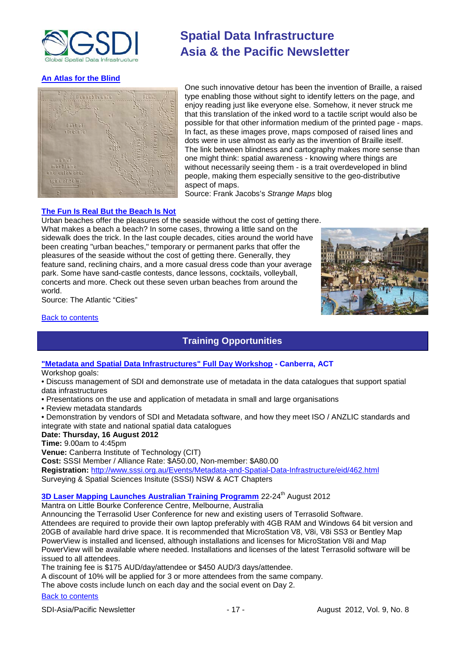

### **[An Atlas for the Blind](http://bigthink.com/strange-maps/574-lines-in-the-darkness-an-atlas-for-the-blind)**



# **Spatial Data Infrastructure Asia & the Pacific Newsletter**

One such innovative detour has been the invention of Braille, a raised type enabling those without sight to identify letters on the page, and enjoy reading just like everyone else. Somehow, it never struck me that this translation of the inked word to a tactile script would also be possible for that other information medium of the printed page - maps. In fact, as these images prove, maps composed of raised lines and dots were in use almost as early as the invention of Braille itself. The link between blindness and cartography makes more sense than one might think: spatial awareness - knowing where things are without necessarily seeing them - is a trait overdeveloped in blind people, making them especially sensitive to the geo-distributive aspect of maps.

Source: Frank Jacobs's *Strange Maps* blog

### **[The Fun Is Real But the Beach Is Not](http://www.theatlanticcities.com/arts-and-lifestyle/2012/07/fun-real-beach-not/2639/)**

Urban beaches offer the pleasures of the seaside without the cost of getting there.

What makes a beach a beach? In some cases, throwing a little sand on the sidewalk does the trick. In the last couple decades, cities around the world have been creating "urban beaches," temporary or permanent parks that offer the pleasures of the seaside without the cost of getting there. Generally, they feature sand, reclining chairs, and a more casual dress code than your average park. Some have sand-castle contests, dance lessons, cocktails, volleyball, concerts and more. Check out these seven urban beaches from around the world.



Source: The Atlantic "Cities"

### <span id="page-16-0"></span>[Back to contents](#page-0-0)

# **Training Opportunities**

### **["Metadata and Spatial Data Infrastructures" Full Day Workshop](http://www.sssi.org.au/Events/Metadata-and-Spatial-Data-Infrastructure/eid/462.html) - Canberra, ACT**

### Workshop goals:

• Discuss management of SDI and demonstrate use of metadata in the data catalogues that support spatial data infrastructures

- Presentations on the use and application of metadata in small and large organisations
- Review metadata standards

• Demonstration by vendors of SDI and Metadata software, and how they meet ISO / ANZLIC standards and integrate with state and national spatial data catalogues

### **Date: Thursday, 16 August 2012**

**Time:** 9.00am to 4:45pm

**Venue:** Canberra Institute of Technology (CIT)

**Cost:** SSSI Member / Alliance Rate: \$A50.00, Non-member: \$A80.00 **Registration:** <http://www.sssi.org.au/Events/Metadata-and-Spatial-Data-Infrastructure/eid/462.html> Surveying & Spatial Sciences Insitute (SSSI) NSW & ACT Chapters

# **[3D Laser Mapping Launches Australian Training Programm](http://www.3dlasermapping.com/)** 22-24<sup>th</sup> August 2012

Mantra on Little Bourke Conference Centre, Melbourne, Australia

Announcing the Terrasolid User Conference for new and existing users of Terrasolid Software. Attendees are required to provide their own laptop preferably with 4GB RAM and Windows 64 bit version and 20GB of available hard drive space. It is recommended that MicroStation V8, V8i, V8i SS3 or Bentley Map PowerView is installed and licensed, although installations and licenses for MicroStation V8i and Map PowerView will be available where needed. Installations and licenses of the latest Terrasolid software will be issued to all attendees.

The training fee is \$175 AUD/day/attendee or \$450 AUD/3 days/attendee.

A discount of 10% will be applied for 3 or more attendees from the same company.

The above costs include lunch on each day and the social event on Day 2.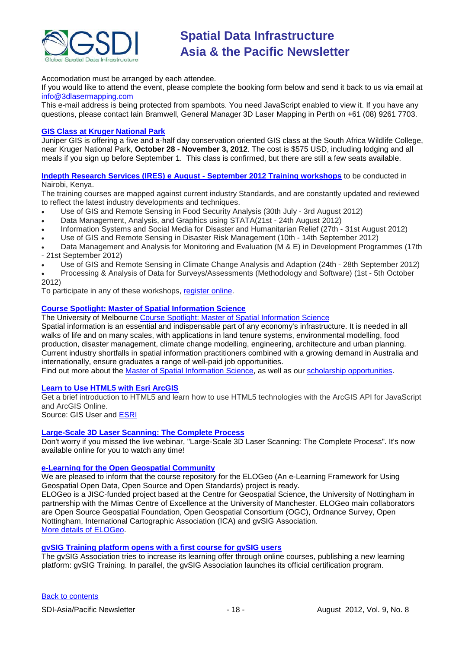

Accomodation must be arranged by each attendee.

If you would like to attend the event, please complete the booking form below and send it back to us via email at [info@3dlasermapping.com](mailto:info@3dlasermapping.com)

This e-mail address is being protected from spambots. You need JavaScript enabled to view it. If you have any questions, please contact Iain Bramwell, General Manager 3D Laser Mapping in Perth on +61 (08) 9261 7703.

### **[GIS Class at Kruger National Park](http://www.junipergis.com/training/destinations/south-africa-gis-training/)**

Juniper GIS is offering a five and a-half day conservation oriented GIS class at the South Africa Wildlife College, near Kruger National Park, **October 28 - November 3, 2012**. The cost is \$575 USD, including lodging and all meals if you sign up before September 1. This class is confirmed, but there are still a few seats available.

**[Indepth Research Services \(IRES\) e August -](http://indepthresearch.us1.list-manage.com/track/click?u=079fb9f777e8d11db604a5219&id=350a4ca385&e=7cbe1e64f1) September 2012 Training workshops** to be conducted in Nairobi, Kenya.

The training courses are mapped against current industry Standards, and are constantly updated and reviewed to reflect the latest industry developments and techniques.

- Use of GIS and Remote Sensing in Food Security Analysis (30th July 3rd August 2012)
- Data Management, Analysis, and Graphics using STATA(21st 24th August 2012)
- Information Systems and Social Media for Disaster and Humanitarian Relief (27th 31st August 2012)
- Use of GIS and Remote Sensing in Disaster Risk Management (10th 14th September 2012)
- Data Management and Analysis for Monitoring and Evaluation (M & E) in Development Programmes (17th - 21st September 2012)
- Use of GIS and Remote Sensing in Climate Change Analysis and Adaption (24th 28th September 2012)
- Processing & Analysis of Data for Surveys/Assessments (Methodology and Software) (1st 5th October 2012)

To participate in any of these workshops, [register online.](http://indepthresearch.us1.list-manage.com/track/click?u=079fb9f777e8d11db604a5219&id=fa3571201a&e=7cbe1e64f1)

### **[Course Spotlight: Master of Spatial Information Science](http://themelbourneengineer.eng.unimelb.edu.au/2012/02/course-spotlight-master-of-spatial-information-science/)**

The University of Melbourne [Course Spotlight: Master of Spatial Information Science](http://themelbourneengineer.eng.unimelb.edu.au/2012/02/course-spotlight-master-of-spatial-information-science/)

Spatial information is an essential and indispensable part of any economy's infrastructure. It is needed in all walks of life and on many scales, with applications in land tenure systems, environmental modelling, food production, disaster management, climate change modelling, engineering, architecture and urban planning. Current industry shortfalls in spatial information practitioners combined with a growing demand in Australia and internationally, ensure graduates a range of well-paid job opportunities.

Find out more about the [Master of Spatial Information Science,](http://www.msi.unimelb.edu.au/study/graduate/master-of-spatial-information-science/) as well as our [scholarship opportunities.](http://www.eng.unimelb.edu.au/study/graduate/scholarships.html)

### **[Learn to Use HTML5 with Esri ArcGIS](http://www.gisuser.com/content/view/25915/2/)**

Get a brief introduction to HTML5 and learn how to use HTML5 technologies with the ArcGIS API for JavaScript and ArcGIS Online.

Source: GIS User and [ESRI](http://training.esri.com/Gateway/index.cfm?fa=seminars.gateway)

### **[Large-Scale 3D Laser Scanning: The Complete Process](http://www.faro.com/site/resources/details/1373?CampaignId=70170000000bbwr)**

Don't worry if you missed the live webinar, "Large-Scale 3D Laser Scanning: The Complete Process". It's now available online for you to watch any time!

### **e-Learning for the [Open Geospatial Community](http://elogeo.nottingham.ac.uk/xmlui)**

We are pleased to inform that the course repository for the ELOGeo (An e-Learning Framework for Using Geospatial Open Data, Open Source and Open Standards) project is ready.

ELOGeo is a JISC-funded project based at the Centre for Geospatial Science, the University of Nottingham in partnership with the Mimas Centre of Excellence at the University of Manchester. ELOGeo main collaborators are Open Source Geospatial Foundation, Open Geospatial Consortium (OGC), Ordnance Survey, Open Nottingham, International Cartographic Association (ICA) and gvSIG Association. [More details of ELOGeo.](http://elogeo.nottingham.ac.uk/index.html)

### **gvSIG Training platform opens with a first course for gvSIG users**

The gvSIG Association tries to increase its learning offer through online courses, publishing a new learning platform: gvSIG Training. In parallel, the gvSIG Association launches its official certification program.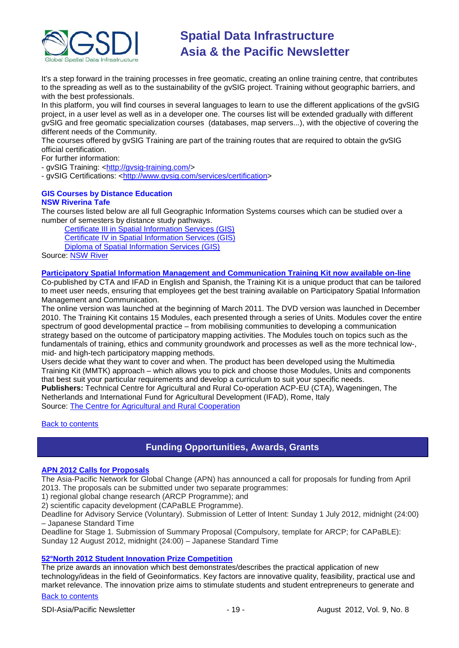

It's a step forward in the training processes in free geomatic, creating an online training centre, that contributes to the spreading as well as to the sustainability of the gvSIG project. Training without geographic barriers, and with the best professionals.

In this platform, you will find courses in several languages to learn to use the different applications of the gvSIG project, in a user level as well as in a developer one. The courses list will be extended gradually with different gvSIG and free geomatic specialization courses (databases, map servers...), with the objective of covering the different needs of the Community.

The courses offered by gvSIG Training are part of the training routes that are required to obtain the gvSIG official certification.

For further information:

- gvSIG Training: [<http://gvsig-training.com/>](http://gvsig-training.com/)

- gvSIG Certifications: [<http://www.gvsig.com/services/certification>](http://www.gvsig.com/services/certification)

### **GIS Courses by Distance Education NSW Riverina Tafe**

The courses listed below are all full Geographic Information Systems courses which can be studied over a number of semesters by distance study pathways.

[Certificate III in Spatial Information Services \(GIS\)](http://www.rit.tafensw.edu.au/nec/nrme/giscourses#Cert III in Spatial Information Services (CPP30109))

[Certificate IV in Spatial Information Services \(GIS\)](http://www.rit.tafensw.edu.au/nec/nrme/giscourses#Cert IV in Spatial Information Services (CPP40209))

[Diploma of Spatial Information Services \(GIS\)](http://www.rit.tafensw.edu.au/nec/nrme/giscourses#Diploma of Spatial Information Services (CPP50207))

Source: **NSW River** 

### **[Participatory Spatial Information Management and Communication Training Kit now available on-line](http://www.cta.int/en/About-us/CTA-news/Participatory-Spatial-Information-Management-and-Communication-Training-Kit-now-available-on-line)**

Co-published by CTA and IFAD in English and Spanish, the Training Kit is a unique product that can be tailored to meet user needs, ensuring that employees get the best training available on Participatory Spatial Information Management and Communication.

The [online version](http://pgis-tk.cta.int/) was launched at the beginning of March 2011. The DVD version was launched in December 2010. The Training Kit contains 15 Modules, each presented through a series of Units. Modules cover the entire spectrum of good developmental practice – from mobilising communities to developing a communication strategy based on the outcome of participatory mapping activities. The Modules touch on topics such as the fundamentals of training, ethics and community groundwork and processes as well as the more technical low-, mid- and high-tech participatory mapping methods.

Users decide what they want to cover and when. The product has been developed using the Multimedia Training Kit (MMTK) approach – which allows you to pick and choose those Modules, Units and components that best suit your particular requirements and develop a curriculum to suit your specific needs. **Publishers:** Technical Centre for Agricultural and Rural Co-operation ACP-EU (CTA), Wageningen, The Netherlands and International Fund for Agricultural Development (IFAD), Rome, Italy

Source: [The Centre for Agricultural and Rural Cooperation](http://www.cta.int/en/About-us/Who-we-are)

<span id="page-18-0"></span>**[Back to contents](#page-0-0)** 

## **Funding Opportunities, Awards, Grants**

### **[APN 2012 Calls for Proposals](http://www.apn-gcr.org/2012/06/07/apns-2012-calls-for-proposals/)**

The Asia-Pacific Network for Global Change (APN) has announced a call for proposals for funding from April 2013. The proposals can be submitted under two separate programmes:

1) regional global change research (ARCP Programme); and

2) scientific capacity development (CAPaBLE Programme).

Deadline for Advisory Service (Voluntary). Submission of Letter of Intent: Sunday 1 July 2012, midnight (24:00) – Japanese Standard Time

Deadline for Stage 1. Submission of Summary Proposal (Compulsory, template for ARCP; for CAPaBLE): Sunday 12 August 2012, midnight (24:00) – Japanese Standard Time

### **[52°North 2012 Student Innovation Prize Competition](http://52north.org/innovationprize)**

The prize awards an innovation which best demonstrates/describes the practical application of new technology/ideas in the field of Geoinformatics. Key factors are innovative quality, feasibility, practical use and market relevance. The innovation prize aims to stimulate students and student entrepreneurs to generate and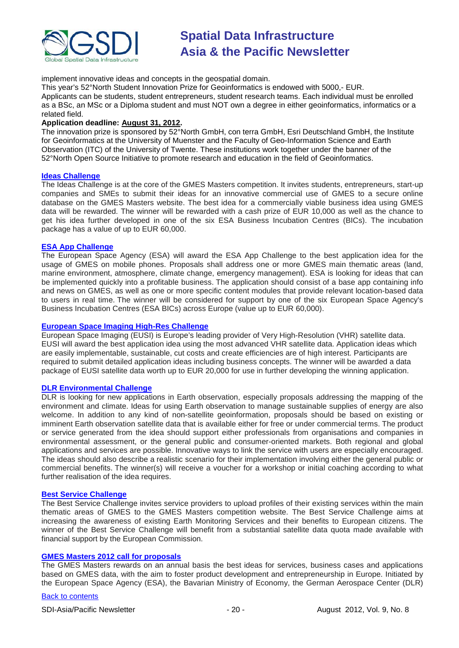

implement innovative ideas and concepts in the geospatial domain.

This year's 52°North Student Innovation Prize for Geoinformatics is endowed with 5000,- EUR.

Applicants can be students, student entrepreneurs, student research teams. Each individual must be enrolled as a BSc, an MSc or a Diploma student and must NOT own a degree in either geoinformatics, informatics or a related field.

### **Application deadline: August 31, 2012.**

The innovation prize is sponsored by 52°North GmbH, con terra GmbH, Esri Deutschland GmbH, the Institute for Geoinformatics at the University of Muenster and the Faculty of Geo-Information Science and Earth Observation (ITC) of the University of Twente. These institutions work together under the banner of the 52°North Open Source Initiative to promote research and education in the field of Geoinformatics.

### **[Ideas Challenge](http://www.gmes-masters.com/ideas-challenge)**

The Ideas Challenge is at the core of the GMES Masters competition. It invites students, entrepreneurs, start-up companies and SMEs to submit their ideas for an innovative commercial use of GMES to a secure online database on the GMES Masters website. The best idea for a commercially viable business idea using GMES data will be rewarded. The winner will be rewarded with a cash prize of EUR 10,000 as well as the chance to get his idea further developed in one of the six ESA Business Incubation Centres (BICs). The incubation package has a value of up to EUR 60,000.

### **[ESA App Challenge](http://www.gmes-masters.com/esa-app-challenge)**

The European Space Agency (ESA) will award the ESA App Challenge to the best application idea for the usage of GMES on mobile phones. Proposals shall address one or more GMES main thematic areas (land, marine environment, atmosphere, climate change, emergency management). ESA is looking for ideas that can be implemented quickly into a profitable business. The application should consist of a base app containing info and news on GMES, as well as one or more specific content modules that provide relevant location-based data to users in real time. The winner will be considered for support by one of the six European Space Agency's Business Incubation Centres (ESA BICs) across Europe (value up to EUR 60,000).

### **[European Space Imaging High-Res Challenge](http://www.gmes-masters.com/european-space-0)**

European Space Imaging (EUSI) is Europe's leading provider of Very High-Resolution (VHR) satellite data. EUSI will award the best application idea using the most advanced VHR satellite data. Application ideas which are easily implementable, sustainable, cut costs and create efficiencies are of high interest. Participants are required to submit detailed application ideas including business concepts. The winner will be awarded a data package of EUSI satellite data worth up to EUR 20,000 for use in further developing the winning application.

### **[DLR Environmental Challenge](http://www.gmes-masters.com/dlr-environmental)**

DLR is looking for new applications in Earth observation, especially proposals addressing the mapping of the environment and climate. Ideas for using Earth observation to manage sustainable supplies of energy are also welcome. In addition to any kind of non-satellite geoinformation, proposals should be based on existing or imminent Earth observation satellite data that is available either for free or under commercial terms. The product or service generated from the idea should support either professionals from organisations and companies in environmental assessment, or the general public and consumer-oriented markets. Both regional and global applications and services are possible. Innovative ways to link the service with users are especially encouraged. The ideas should also describe a realistic scenario for their implementation involving either the general public or commercial benefits. The winner(s) will receive a voucher for a workshop or initial coaching according to what further realisation of the idea requires.

### **[Best Service Challenge](http://www.gmes-masters.com/best-service)**

The Best Service Challenge invites service providers to upload profiles of their existing services within the main thematic areas of GMES to the GMES Masters competition website. The Best Service Challenge aims at increasing the awareness of existing Earth Monitoring Services and their benefits to European citizens. The winner of the Best Service Challenge will benefit from a substantial satellite data quota made available with financial support by the European Commission.

### **[GMES Masters 2012 call for proposals](http://www.gmes-masters.com/challenges-2012)**

The GMES Masters rewards on an annual basis the best ideas for services, business cases and applications based on GMES data, with the aim to foster product development and entrepreneurship in Europe. Initiated by the European Space Agency (ESA), the Bavarian Ministry of Economy, the German Aerospace Center (DLR)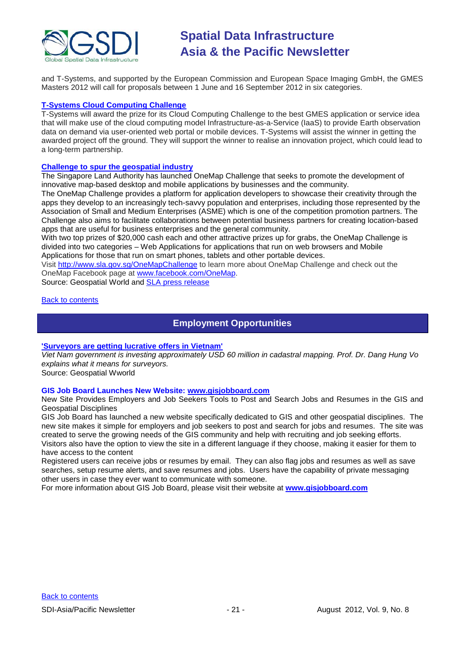

and T-Systems, and supported by the European Commission and European Space Imaging GmbH, the GMES Masters 2012 will call for proposals between 1 June and 16 September 2012 in six categories.

### **[T-Systems Cloud Computing Challenge](http://www.gmes-masters.com/t-systems-cloud)**

T-Systems will award the prize for its Cloud Computing Challenge to the best GMES application or service idea that will make use of the cloud computing model Infrastructure-as-a-Service (IaaS) to provide Earth observation data on demand via user-oriented web portal or mobile devices. T-Systems will assist the winner in getting the awarded project off the ground. They will support the winner to realise an innovation project, which could lead to a long-term partnership.

### **[Challenge to spur the geospatial industry](http://geospatialworld.net/index.php?option=com_content&view=article&id=23850:challenge-to-spur-the-geospatial-industry&catid=75:miscellaneous-events)**

The Singapore Land Authority has launched OneMap Challenge that seeks to promote the development of innovative map-based desktop and mobile applications by businesses and the community.

The OneMap Challenge provides a platform for application developers to showcase their creativity through the apps they develop to an increasingly tech-savvy population and enterprises, including those represented by the Association of Small and Medium Enterprises (ASME) which is one of the competition promotion partners. The Challenge also aims to facilitate collaborations between potential business partners for creating location-based apps that are useful for business enterprises and the general community.

With two top prizes of \$20,000 cash each and other attractive prizes up for grabs, the OneMap Challenge is divided into two categories – Web Applications for applications that run on web browsers and Mobile Applications for those that run on smart phones, tablets and other portable devices.

Visit <http://www.sla.gov.sg/OneMapChallenge> to learn more about OneMap Challenge and check out the OneMap Facebook page at [www.facebook.com/OneMap.](http://www.facebook.com/OneMap)

Source: Geospatial World and [SLA press release](http://www.sla.gov.sg/htm/new/new2012/new0401.htm)

### <span id="page-20-0"></span>[Back to contents](#page-0-0)

### **Employment Opportunities**

### **['Surveyors are getting lucrative offers in Vietnam'](http://www.geospatialworld.net/index.php?option=com_interview&int=1&view=managetemplate&id=255&Itemid=644)**

*Viet Nam government is investing approximately USD 60 million in cadastral mapping. Prof. Dr. Dang Hung Vo explains what it means for surveyors.*

Source: Geospatial Wworld

### **GIS Job Board Launches New Website: [www.gisjobboard.com](http://www.gisjobboard.com/)**

New Site Provides Employers and Job Seekers Tools to Post and Search Jobs and Resumes in the GIS and Geospatial Disciplines

GIS Job Board has launched a new website specifically dedicated to GIS and other geospatial disciplines. The new site makes it simple for employers and job seekers to post and search for jobs and resumes. The site was created to serve the growing needs of the GIS community and help with recruiting and job seeking efforts. Visitors also have the option to view the site in a different language if they choose, making it easier for them to have access to the content

Registered users can receive jobs or resumes by email. They can also flag jobs and resumes as well as save searches, setup resume alerts, and save resumes and jobs. Users have the capability of private messaging other users in case they ever want to communicate with someone.

For more information about GIS Job Board, please visit their website at **[www.gisjobboard.com](http://www.gisjobboard.com/)**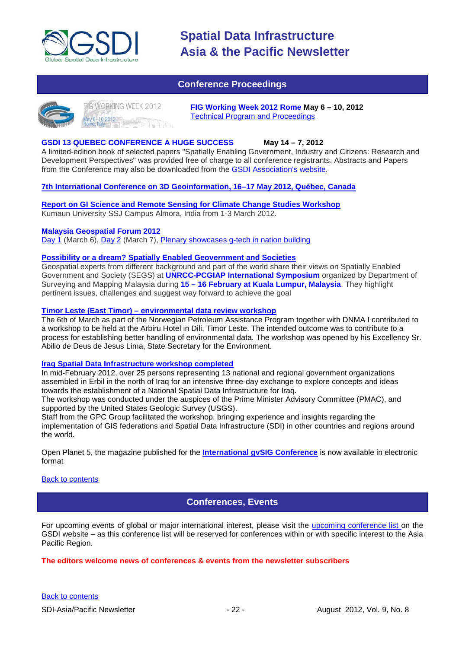

### **Conference Proceedings**

<span id="page-21-0"></span>

FIGWORKING WEEK 2012 ay 6-10 2012<br>me, Italy

**FIG Working Week 2012 Rome May 6 – 10, 2012** [Technical Program and Proceedings](http://www.fig.net/pub/fig2012/techprog.htm)

### **GSDI 13 QUEBEC CONFERENCE A HUGE SUCCESS May 14 – 7, 2012**

A limited-edition book of selected papers "Spatially Enabling Government, Industry and Citizens: Research and Development Perspectives" was provided free of charge to all conference registrants. Abstracts and Papers from the Conference may also be downloaded from the [GSDI Association's website.](http://www.gsdi.org/gsdiconf/gsdi13/prog_details.html)

### **[7th International Conference on 3D Geoinformation, 16–17 May 2012, Québec, Canada](http://www.int-arch-photogramm-remote-sens-spatial-inf-sci.net/XXXVIII-4-C26/)**

**[Report on GI Science and Remote Sensing for Climate Change Studies Workshop](http://www.asmmag.com/201205043668/report-on-gi-science-and-remote-sensing-for-climate-change-studies-workshop.html)** Kumaun University SSJ Campus Almora, India from 1-3 March 2012.

### **Malaysia Geospatial Forum 2012**

[Day 1](http://www.geospatialworld.net/index.php?option=com_content&view=article&id=24204%3Amalaysia-explores-geospatial-opportunities&catid=75%3Amiscellaneous-events&Itemid=1) (March 6), [Day 2](http://www.geospatialworld.net/index.php?option=com_content&view=article&id=24223%3Ageospatial-sector-should-strive-to-become-more-useful&catid=75%3Amiscellaneous-events&Itemid=1) (March 7), [Plenary showcases g-tech in nation building](http://www.geospatialworld.net/index.php?option=com_content&view=article&id=24212%3Aplenary-showcases-g-tech-in-nation-building-&catid=75%3Amiscellaneous-events&Itemid=1)

### **Possibility or a dream? [Spatially Enabled Geovernment and Societies](http://mycoordinates.org/possibility-or-a-dream-spatially-enabled-geovernment-and-societies-2/)**

Geospatial experts from different background and part of the world share their views on Spatially Enabled Government and Society (SEGS) at **UNRCC-PCGIAP International Symposium** organized by Department of Surveying and Mapping Malaysia during **15 – 16 February at Kuala Lumpur, Malaysia**. They highlight pertinent issues, challenges and suggest way forward to achieve the goal

### **Timor Leste (East Timor) – [environmental data review workshop](http://www.mindland.com/wp/?p=125)**

The 6th of March as part of the Norwegian Petroleum Assistance Program together with DNMA I contributed to a workshop to be held at the Arbiru Hotel in Dili, Timor Leste. The intended outcome was to contribute to a process for establishing better handling of environmental data. The workshop was opened by his Excellency Sr. Abilio de Deus de Jesus Lima, State Secretary for the Environment.

### **[Iraq Spatial Data Infrastructure workshop completed](http://www.ameinfo.com/290564.html)**

In mid-February 2012, over 25 persons representing 13 national and regional government organizations assembled in Erbil in the north of Iraq for an intensive three-day exchange to explore concepts and ideas towards the establishment of a National Spatial Data Infrastructure for Iraq.

The workshop was conducted under the auspices of the Prime Minister Advisory Committee (PMAC), and supported by the United States Geologic Survey (USGS).

Staff from the GPC Group facilitated the workshop, bringing experience and insights regarding the implementation of GIS federations and Spatial Data Infrastructure (SDI) in other countries and regions around the world.

[Open Planet 5, the magazine published for the](http://jornadas.gvsig.org/descargas/magazine) **International gvSIG Conference** is now available in electronic [format](http://jornadas.gvsig.org/descargas/magazine)

### <span id="page-21-1"></span>[Back to contents](#page-0-0)

### **Conferences, Events**

For upcoming events of global or major international interest, please visit the [upcoming conference list o](http://gsdi.org/events/upcnf.asp)n the GSDI website – as this conference list will be reserved for conferences within or with specific interest to the Asia Pacific Region.

### **The editors welcome news of conferences & events from the newsletter subscribers**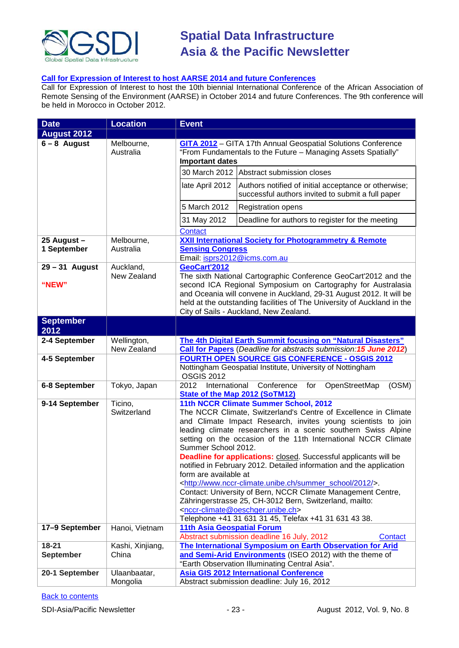

### **[Call for Expression of Interest to host AARSE 2014 and future Conferences](http://lists.gsdi.org/pipermail/sdi-africa/2010-November/001135.html)**

Call for Expression of Interest to host the 10th biennial International Conference of the African Association of Remote Sensing of the Environment (AARSE) in October 2014 and future Conferences. The 9th conference will be held in Morocco in October 2012.

| <b>Date</b>                | <b>Location</b>            | <b>Event</b>                                                                                                                                                                                                                                                                                                                                                                                                                                                                                                                                                                                                                                                                                                                                                                                                                                        |  |  |
|----------------------------|----------------------------|-----------------------------------------------------------------------------------------------------------------------------------------------------------------------------------------------------------------------------------------------------------------------------------------------------------------------------------------------------------------------------------------------------------------------------------------------------------------------------------------------------------------------------------------------------------------------------------------------------------------------------------------------------------------------------------------------------------------------------------------------------------------------------------------------------------------------------------------------------|--|--|
| <b>August 2012</b>         |                            |                                                                                                                                                                                                                                                                                                                                                                                                                                                                                                                                                                                                                                                                                                                                                                                                                                                     |  |  |
| $6 - 8$ August             | Melbourne,<br>Australia    | <b>GITA 2012</b> - GITA 17th Annual Geospatial Solutions Conference<br>"From Fundamentals to the Future - Managing Assets Spatially"<br><b>Important dates</b>                                                                                                                                                                                                                                                                                                                                                                                                                                                                                                                                                                                                                                                                                      |  |  |
|                            |                            | 30 March 2012 Abstract submission closes                                                                                                                                                                                                                                                                                                                                                                                                                                                                                                                                                                                                                                                                                                                                                                                                            |  |  |
|                            |                            | late April 2012<br>Authors notified of initial acceptance or otherwise;<br>successful authors invited to submit a full paper                                                                                                                                                                                                                                                                                                                                                                                                                                                                                                                                                                                                                                                                                                                        |  |  |
|                            |                            | 5 March 2012<br><b>Registration opens</b>                                                                                                                                                                                                                                                                                                                                                                                                                                                                                                                                                                                                                                                                                                                                                                                                           |  |  |
|                            |                            | 31 May 2012<br>Deadline for authors to register for the meeting                                                                                                                                                                                                                                                                                                                                                                                                                                                                                                                                                                                                                                                                                                                                                                                     |  |  |
|                            |                            | <b>Contact</b>                                                                                                                                                                                                                                                                                                                                                                                                                                                                                                                                                                                                                                                                                                                                                                                                                                      |  |  |
| 25 August -<br>1 September | Melbourne,<br>Australia    | <b>XXII International Society for Photogrammetry &amp; Remote</b><br><b>Sensing Congress</b><br>Email: isprs2012@icms.com.au                                                                                                                                                                                                                                                                                                                                                                                                                                                                                                                                                                                                                                                                                                                        |  |  |
| $29 - 31$ August<br>"NEW"  | Auckland,<br>New Zealand   | GeoCart'2012<br>The sixth National Cartographic Conference GeoCart'2012 and the<br>second ICA Regional Symposium on Cartography for Australasia<br>and Oceania will convene in Auckland, 29-31 August 2012. It will be<br>held at the outstanding facilities of The University of Auckland in the<br>City of Sails - Auckland, New Zealand.                                                                                                                                                                                                                                                                                                                                                                                                                                                                                                         |  |  |
| <b>September</b><br>2012   |                            |                                                                                                                                                                                                                                                                                                                                                                                                                                                                                                                                                                                                                                                                                                                                                                                                                                                     |  |  |
| 2-4 September              | Wellington,<br>New Zealand | The 4th Digital Earth Summit focusing on "Natural Disasters"<br>Call for Papers (Deadline for abstracts submission: 15 June 2012)                                                                                                                                                                                                                                                                                                                                                                                                                                                                                                                                                                                                                                                                                                                   |  |  |
| 4-5 September              |                            | <b>FOURTH OPEN SOURCE GIS CONFERENCE - OSGIS 2012</b><br>Nottingham Geospatial Institute, University of Nottingham<br><b>OSGIS 2012</b>                                                                                                                                                                                                                                                                                                                                                                                                                                                                                                                                                                                                                                                                                                             |  |  |
| 6-8 September              | Tokyo, Japan               | International<br>Conference<br>OpenStreetMap<br>(OSM)<br>2012<br>for<br>State of the Map 2012 (SoTM12)                                                                                                                                                                                                                                                                                                                                                                                                                                                                                                                                                                                                                                                                                                                                              |  |  |
| 9-14 September             | Ticino,<br>Switzerland     | 11th NCCR Climate Summer School, 2012<br>The NCCR Climate, Switzerland's Centre of Excellence in Climate<br>and Climate Impact Research, invites young scientists to join<br>leading climate researchers in a scenic southern Swiss Alpine<br>setting on the occasion of the 11th International NCCR Climate<br>Summer School 2012.<br><b>Deadline for applications:</b> closed. Successful applicants will be<br>notified in February 2012. Detailed information and the application<br>form are available at<br><http: 2012="" summer_school="" www.nccr-climate.unibe.ch=""></http:> .<br>Contact: University of Bern, NCCR Climate Management Centre,<br>Zähringerstrasse 25, CH-3012 Bern, Switzerland, mailto:<br><nccr-climate@oeschger.unibe.ch><br/>Telephone +41 31 631 31 45, Telefax +41 31 631 43 38.</nccr-climate@oeschger.unibe.ch> |  |  |
| 17-9 September             | Hanoi, Vietnam             | <b>11th Asia Geospatial Forum</b><br>Abstract submission deadline 16 July, 2012<br><b>Contact</b>                                                                                                                                                                                                                                                                                                                                                                                                                                                                                                                                                                                                                                                                                                                                                   |  |  |
| $18 - 21$                  | Kashi, Xinjiang,           | The International Symposium on Earth Observation for Arid                                                                                                                                                                                                                                                                                                                                                                                                                                                                                                                                                                                                                                                                                                                                                                                           |  |  |
| <b>September</b>           | China                      | and Semi-Arid Environments (ISEO 2012) with the theme of<br>"Earth Observation Illuminating Central Asia".                                                                                                                                                                                                                                                                                                                                                                                                                                                                                                                                                                                                                                                                                                                                          |  |  |
| 20-1 September             | Ulaanbaatar,<br>Mongolia   | <b>Asia GIS 2012 International Conference</b><br>Abstract submission deadline: July 16, 2012                                                                                                                                                                                                                                                                                                                                                                                                                                                                                                                                                                                                                                                                                                                                                        |  |  |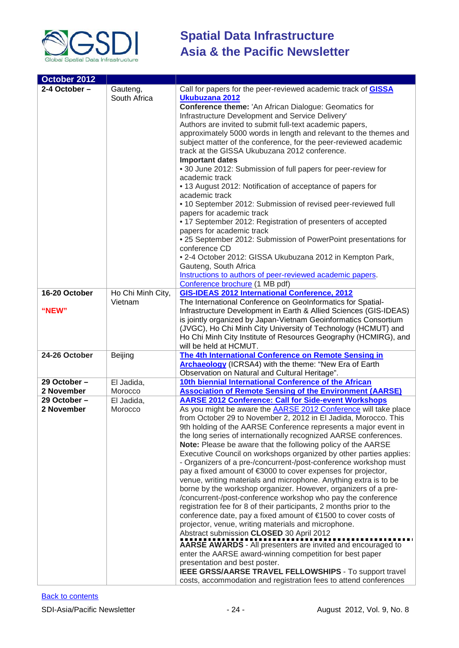

| October 2012                   |                                               |                                                                                                                                                                                                                                                                                                                                                                                                                                                                                                                                                                                                                                                                                                                                                                                                                                                                                                                                                                                                                                                                                                                                                                                                                                                                                                                                                                       |  |
|--------------------------------|-----------------------------------------------|-----------------------------------------------------------------------------------------------------------------------------------------------------------------------------------------------------------------------------------------------------------------------------------------------------------------------------------------------------------------------------------------------------------------------------------------------------------------------------------------------------------------------------------------------------------------------------------------------------------------------------------------------------------------------------------------------------------------------------------------------------------------------------------------------------------------------------------------------------------------------------------------------------------------------------------------------------------------------------------------------------------------------------------------------------------------------------------------------------------------------------------------------------------------------------------------------------------------------------------------------------------------------------------------------------------------------------------------------------------------------|--|
| 2-4 October -<br>16-20 October | Gauteng,<br>South Africa<br>Ho Chi Minh City, | Call for papers for the peer-reviewed academic track of <b>GISSA</b><br>Ukubuzana 2012<br><b>Conference theme: 'An African Dialogue: Geomatics for</b><br>Infrastructure Development and Service Delivery'<br>Authors are invited to submit full-text academic papers,<br>approximately 5000 words in length and relevant to the themes and<br>subject matter of the conference, for the peer-reviewed academic<br>track at the GISSA Ukubuzana 2012 conference.<br><b>Important dates</b><br>• 30 June 2012: Submission of full papers for peer-review for<br>academic track<br>• 13 August 2012: Notification of acceptance of papers for<br>academic track<br>• 10 September 2012: Submission of revised peer-reviewed full<br>papers for academic track<br>• 17 September 2012: Registration of presenters of accepted<br>papers for academic track<br>• 25 September 2012: Submission of PowerPoint presentations for<br>conference CD<br>• 2-4 October 2012: GISSA Ukubuzana 2012 in Kempton Park,<br>Gauteng, South Africa<br>Instructions to authors of peer-reviewed academic papers.<br>Conference brochure (1 MB pdf)<br><b>GIS-IDEAS 2012 International Conference, 2012</b>                                                                                                                                                                              |  |
| "NEW"                          | Vietnam                                       | The International Conference on GeoInformatics for Spatial-<br>Infrastructure Development in Earth & Allied Sciences (GIS-IDEAS)<br>is jointly organized by Japan-Vietnam Geoinformatics Consortium<br>(JVGC), Ho Chi Minh City University of Technology (HCMUT) and<br>Ho Chi Minh City Institute of Resources Geography (HCMIRG), and<br>will be held at HCMUT.                                                                                                                                                                                                                                                                                                                                                                                                                                                                                                                                                                                                                                                                                                                                                                                                                                                                                                                                                                                                     |  |
| 24-26 October                  | Beijing                                       | The 4th International Conference on Remote Sensing in                                                                                                                                                                                                                                                                                                                                                                                                                                                                                                                                                                                                                                                                                                                                                                                                                                                                                                                                                                                                                                                                                                                                                                                                                                                                                                                 |  |
|                                |                                               | <b>Archaeology</b> (ICRSA4) with the theme: "New Era of Earth<br>Observation on Natural and Cultural Heritage".                                                                                                                                                                                                                                                                                                                                                                                                                                                                                                                                                                                                                                                                                                                                                                                                                                                                                                                                                                                                                                                                                                                                                                                                                                                       |  |
| 29 October -                   | El Jadida,                                    | 10th biennial International Conference of the African                                                                                                                                                                                                                                                                                                                                                                                                                                                                                                                                                                                                                                                                                                                                                                                                                                                                                                                                                                                                                                                                                                                                                                                                                                                                                                                 |  |
| 2 November                     | Morocco                                       | <b>Association of Remote Sensing of the Environment (AARSE)</b>                                                                                                                                                                                                                                                                                                                                                                                                                                                                                                                                                                                                                                                                                                                                                                                                                                                                                                                                                                                                                                                                                                                                                                                                                                                                                                       |  |
| 29 October-<br>2 November      | El Jadida,<br>Morocco                         | <b>AARSE 2012 Conference: Call for Side-event Workshops</b><br>As you might be aware the <b>AARSE 2012 Conference</b> will take place<br>from October 29 to November 2, 2012 in El Jadida, Morocco. This<br>9th holding of the AARSE Conference represents a major event in<br>the long series of internationally recognized AARSE conferences.<br>Note: Please be aware that the following policy of the AARSE<br>Executive Council on workshops organized by other parties applies:<br>- Organizers of a pre-/concurrent-/post-conference workshop must<br>pay a fixed amount of €3000 to cover expenses for projector,<br>venue, writing materials and microphone. Anything extra is to be<br>borne by the workshop organizer. However, organizers of a pre-<br>/concurrent-/post-conference workshop who pay the conference<br>registration fee for 8 of their participants, 2 months prior to the<br>conference date, pay a fixed amount of €1500 to cover costs of<br>projector, venue, writing materials and microphone.<br>Abstract submission CLOSED 30 April 2012<br>AARSE AWARDS - All presenters are invited and encouraged to<br>enter the AARSE award-winning competition for best paper<br>presentation and best poster.<br>IEEE GRSS/AARSE TRAVEL FELLOWSHIPS - To support travel<br>costs, accommodation and registration fees to attend conferences |  |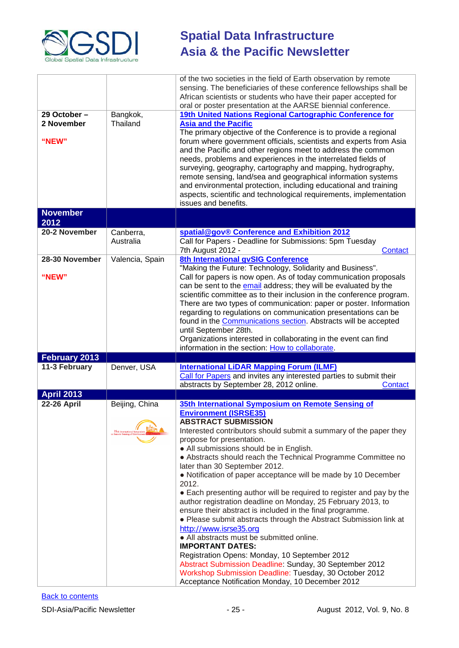

| 29 October -<br>2 November<br>"NEW" | Bangkok,<br>Thailand                                                    | of the two societies in the field of Earth observation by remote<br>sensing. The beneficiaries of these conference fellowships shall be<br>African scientists or students who have their paper accepted for<br>oral or poster presentation at the AARSE biennial conference.<br>19th United Nations Regional Cartographic Conference for<br><b>Asia and the Pacific</b><br>The primary objective of the Conference is to provide a regional<br>forum where government officials, scientists and experts from Asia<br>and the Pacific and other regions meet to address the common<br>needs, problems and experiences in the interrelated fields of<br>surveying, geography, cartography and mapping, hydrography,                                                                                                                                                                                                                 |  |  |
|-------------------------------------|-------------------------------------------------------------------------|-----------------------------------------------------------------------------------------------------------------------------------------------------------------------------------------------------------------------------------------------------------------------------------------------------------------------------------------------------------------------------------------------------------------------------------------------------------------------------------------------------------------------------------------------------------------------------------------------------------------------------------------------------------------------------------------------------------------------------------------------------------------------------------------------------------------------------------------------------------------------------------------------------------------------------------|--|--|
|                                     |                                                                         | remote sensing, land/sea and geographical information systems<br>and environmental protection, including educational and training<br>aspects, scientific and technological requirements, implementation<br>issues and benefits.                                                                                                                                                                                                                                                                                                                                                                                                                                                                                                                                                                                                                                                                                                   |  |  |
| <b>November</b>                     |                                                                         |                                                                                                                                                                                                                                                                                                                                                                                                                                                                                                                                                                                                                                                                                                                                                                                                                                                                                                                                   |  |  |
| 2012                                |                                                                         |                                                                                                                                                                                                                                                                                                                                                                                                                                                                                                                                                                                                                                                                                                                                                                                                                                                                                                                                   |  |  |
| 20-2 November                       | Canberra,<br>Australia                                                  | spatial@gov® Conference and Exhibition 2012<br>Call for Papers - Deadline for Submissions: 5pm Tuesday<br>7th August 2012 -<br>Contact                                                                                                                                                                                                                                                                                                                                                                                                                                                                                                                                                                                                                                                                                                                                                                                            |  |  |
| 28-30 November<br>"NEW"             | Valencia, Spain                                                         | 8th International gvSIG Conference<br>"Making the Future: Technology, Solidarity and Business".<br>Call for papers is now open. As of today communication proposals<br>can be sent to the email address; they will be evaluated by the<br>scientific committee as to their inclusion in the conference program.<br>There are two types of communication: paper or poster. Information<br>regarding to regulations on communication presentations can be<br>found in the <b>Communications section</b> . Abstracts will be accepted<br>until September 28th.                                                                                                                                                                                                                                                                                                                                                                       |  |  |
|                                     |                                                                         | Organizations interested in collaborating in the event can find<br>information in the section: How to collaborate.                                                                                                                                                                                                                                                                                                                                                                                                                                                                                                                                                                                                                                                                                                                                                                                                                |  |  |
| February 2013                       |                                                                         |                                                                                                                                                                                                                                                                                                                                                                                                                                                                                                                                                                                                                                                                                                                                                                                                                                                                                                                                   |  |  |
| 11-3 February                       | Denver, USA                                                             | <b>International LiDAR Mapping Forum (ILMF)</b><br>Call for Papers and invites any interested parties to submit their<br>abstracts by September 28, 2012 online.<br>Contact                                                                                                                                                                                                                                                                                                                                                                                                                                                                                                                                                                                                                                                                                                                                                       |  |  |
| <b>April 2013</b>                   |                                                                         |                                                                                                                                                                                                                                                                                                                                                                                                                                                                                                                                                                                                                                                                                                                                                                                                                                                                                                                                   |  |  |
| <b>22-26 April</b>                  | Beijing, China<br>35 <sup>th</sup> International<br>Remote Sensing of 1 | 35th International Symposium on Remote Sensing of<br><b>Environment (ISRSE35)</b><br><b>ABSTRACT SUBMISSION</b><br>Interested contributors should submit a summary of the paper they<br>propose for presentation.<br>• All submissions should be in English.<br>• Abstracts should reach the Technical Programme Committee no<br>later than 30 September 2012.<br>• Notification of paper acceptance will be made by 10 December<br>2012.<br>• Each presenting author will be required to register and pay by the<br>author registration deadline on Monday, 25 February 2013, to<br>ensure their abstract is included in the final programme.<br>• Please submit abstracts through the Abstract Submission link at<br>http://www.isrse35.org<br>• All abstracts must be submitted online.<br><b>IMPORTANT DATES:</b><br>Registration Opens: Monday, 10 September 2012<br>Abstract Submission Deadline: Sunday, 30 September 2012 |  |  |
|                                     |                                                                         | Workshop Submission Deadline: Tuesday, 30 October 2012<br>Acceptance Notification Monday, 10 December 2012                                                                                                                                                                                                                                                                                                                                                                                                                                                                                                                                                                                                                                                                                                                                                                                                                        |  |  |